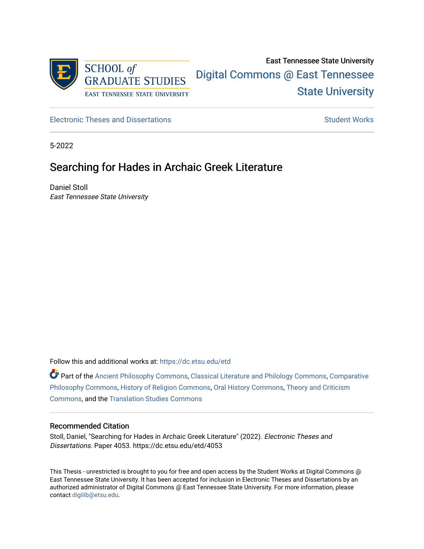

# East Tennessee State University [Digital Commons @ East Tennessee](https://dc.etsu.edu/)  [State University](https://dc.etsu.edu/)

[Electronic Theses and Dissertations](https://dc.etsu.edu/etd) [Student Works](https://dc.etsu.edu/student-works) Student Works

5-2022

## Searching for Hades in Archaic Greek Literature

Daniel Stoll East Tennessee State University

Follow this and additional works at: [https://dc.etsu.edu/etd](https://dc.etsu.edu/etd?utm_source=dc.etsu.edu%2Fetd%2F4053&utm_medium=PDF&utm_campaign=PDFCoverPages)

Part of the [Ancient Philosophy Commons](http://network.bepress.com/hgg/discipline/448?utm_source=dc.etsu.edu%2Fetd%2F4053&utm_medium=PDF&utm_campaign=PDFCoverPages), [Classical Literature and Philology Commons,](http://network.bepress.com/hgg/discipline/451?utm_source=dc.etsu.edu%2Fetd%2F4053&utm_medium=PDF&utm_campaign=PDFCoverPages) [Comparative](http://network.bepress.com/hgg/discipline/1343?utm_source=dc.etsu.edu%2Fetd%2F4053&utm_medium=PDF&utm_campaign=PDFCoverPages)  [Philosophy Commons,](http://network.bepress.com/hgg/discipline/1343?utm_source=dc.etsu.edu%2Fetd%2F4053&utm_medium=PDF&utm_campaign=PDFCoverPages) [History of Religion Commons](http://network.bepress.com/hgg/discipline/499?utm_source=dc.etsu.edu%2Fetd%2F4053&utm_medium=PDF&utm_campaign=PDFCoverPages), [Oral History Commons](http://network.bepress.com/hgg/discipline/1195?utm_source=dc.etsu.edu%2Fetd%2F4053&utm_medium=PDF&utm_campaign=PDFCoverPages), [Theory and Criticism](http://network.bepress.com/hgg/discipline/516?utm_source=dc.etsu.edu%2Fetd%2F4053&utm_medium=PDF&utm_campaign=PDFCoverPages)  [Commons](http://network.bepress.com/hgg/discipline/516?utm_source=dc.etsu.edu%2Fetd%2F4053&utm_medium=PDF&utm_campaign=PDFCoverPages), and the [Translation Studies Commons](http://network.bepress.com/hgg/discipline/1312?utm_source=dc.etsu.edu%2Fetd%2F4053&utm_medium=PDF&utm_campaign=PDFCoverPages)

#### Recommended Citation

Stoll, Daniel, "Searching for Hades in Archaic Greek Literature" (2022). Electronic Theses and Dissertations. Paper 4053. https://dc.etsu.edu/etd/4053

This Thesis - unrestricted is brought to you for free and open access by the Student Works at Digital Commons @ East Tennessee State University. It has been accepted for inclusion in Electronic Theses and Dissertations by an authorized administrator of Digital Commons @ East Tennessee State University. For more information, please contact [digilib@etsu.edu](mailto:digilib@etsu.edu).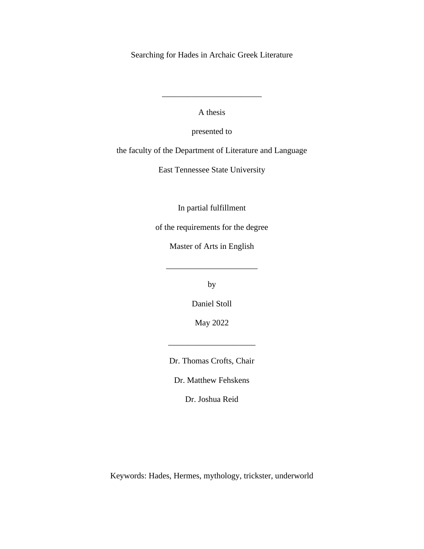Searching for Hades in Archaic Greek Literature

A thesis

\_\_\_\_\_\_\_\_\_\_\_\_\_\_\_\_\_\_\_\_\_\_\_\_

presented to

the faculty of the Department of Literature and Language

East Tennessee State University

In partial fulfillment

of the requirements for the degree

Master of Arts in English

\_\_\_\_\_\_\_\_\_\_\_\_\_\_\_\_\_\_\_\_\_\_

by

Daniel Stoll

May 2022

Dr. Thomas Crofts, Chair

\_\_\_\_\_\_\_\_\_\_\_\_\_\_\_\_\_\_\_\_\_

Dr. Matthew Fehskens

Dr. Joshua Reid

Keywords: Hades, Hermes, mythology, trickster, underworld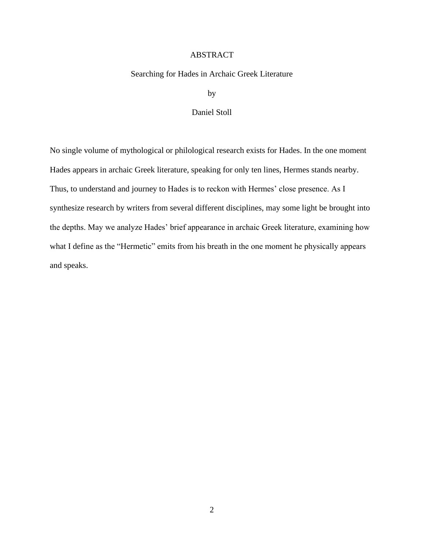#### ABSTRACT

#### <span id="page-2-0"></span>Searching for Hades in Archaic Greek Literature

by

#### Daniel Stoll

<span id="page-2-1"></span>No single volume of mythological or philological research exists for Hades. In the one moment Hades appears in archaic Greek literature, speaking for only ten lines, Hermes stands nearby. Thus, to understand and journey to Hades is to reckon with Hermes' close presence. As I synthesize research by writers from several different disciplines, may some light be brought into the depths. May we analyze Hades' brief appearance in archaic Greek literature, examining how what I define as the "Hermetic" emits from his breath in the one moment he physically appears and speaks.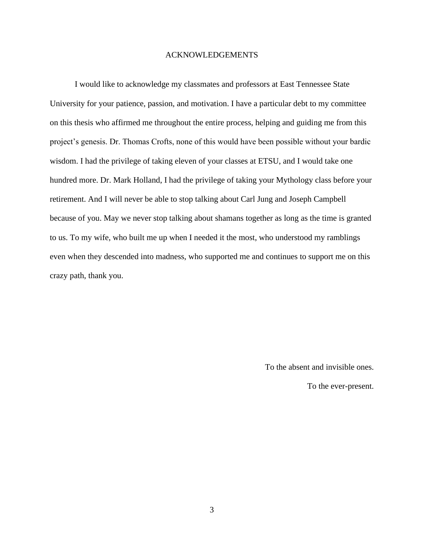#### ACKNOWLEDGEMENTS

I would like to acknowledge my classmates and professors at East Tennessee State University for your patience, passion, and motivation. I have a particular debt to my committee on this thesis who affirmed me throughout the entire process, helping and guiding me from this project's genesis. Dr. Thomas Crofts, none of this would have been possible without your bardic wisdom. I had the privilege of taking eleven of your classes at ETSU, and I would take one hundred more. Dr. Mark Holland, I had the privilege of taking your Mythology class before your retirement. And I will never be able to stop talking about Carl Jung and Joseph Campbell because of you. May we never stop talking about shamans together as long as the time is granted to us. To my wife, who built me up when I needed it the most, who understood my ramblings even when they descended into madness, who supported me and continues to support me on this crazy path, thank you.

To the absent and invisible ones.

To the ever-present.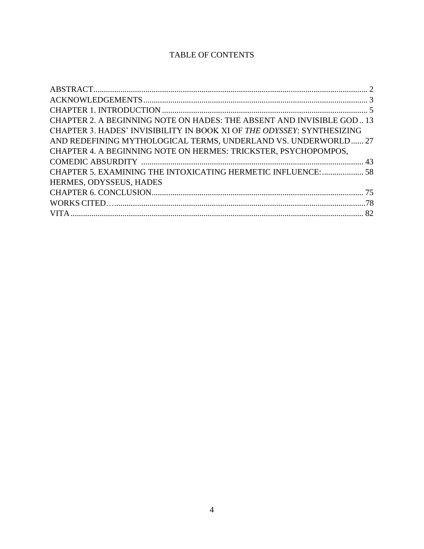### TABLE OF CONTENTS

| CHAPTER 2. A BEGINNING NOTE ON HADES: THE ABSENT AND INVISIBLE GOD 13  |  |
|------------------------------------------------------------------------|--|
| CHAPTER 3. HADES' INVISIBILITY IN BOOK XI OF THE ODYSSEY: SYNTHESIZING |  |
| AND REDEFINING MYTHOLOGICAL TERMS, UNDERLAND VS. UNDERWORLD 27         |  |
| CHAPTER 4. A BEGINNING NOTE ON HERMES: TRICKSTER, PSYCHOPOMPOS,        |  |
|                                                                        |  |
| CHAPTER 5. EXAMINING THE INTOXICATING HERMETIC INFLUENCE:  58          |  |
| HERMES, ODYSSEUS, HADES                                                |  |
|                                                                        |  |
|                                                                        |  |
|                                                                        |  |
|                                                                        |  |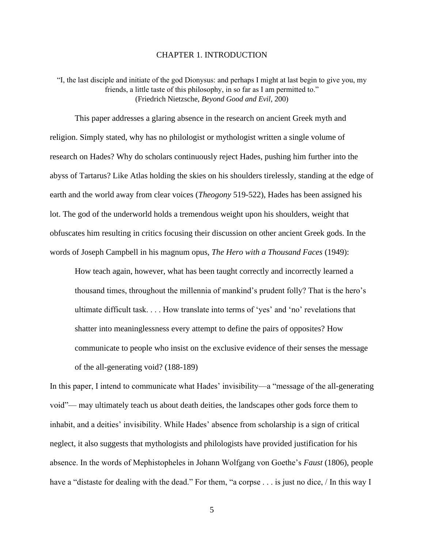#### CHAPTER 1. INTRODUCTION

<span id="page-5-0"></span>"I, the last disciple and initiate of the god Dionysus: and perhaps I might at last begin to give you, my friends, a little taste of this philosophy, in so far as I am permitted to." (Friedrich Nietzsche, *Beyond Good and Evil*, 200)

This paper addresses a glaring absence in the research on ancient Greek myth and religion. Simply stated, why has no philologist or mythologist written a single volume of research on Hades? Why do scholars continuously reject Hades, pushing him further into the abyss of Tartarus? Like Atlas holding the skies on his shoulders tirelessly, standing at the edge of earth and the world away from clear voices (*Theogony* 519-522), Hades has been assigned his lot. The god of the underworld holds a tremendous weight upon his shoulders, weight that obfuscates him resulting in critics focusing their discussion on other ancient Greek gods. In the words of Joseph Campbell in his magnum opus, *The Hero with a Thousand Faces* (1949):

How teach again, however, what has been taught correctly and incorrectly learned a thousand times, throughout the millennia of mankind's prudent folly? That is the hero's ultimate difficult task. . . . How translate into terms of 'yes' and 'no' revelations that shatter into meaninglessness every attempt to define the pairs of opposites? How communicate to people who insist on the exclusive evidence of their senses the message of the all-generating void? (188-189)

In this paper, I intend to communicate what Hades' invisibility—a "message of the all-generating void"— may ultimately teach us about death deities, the landscapes other gods force them to inhabit, and a deities' invisibility. While Hades' absence from scholarship is a sign of critical neglect, it also suggests that mythologists and philologists have provided justification for his absence. In the words of Mephistopheles in Johann Wolfgang von Goethe's *Faust* (1806), people have a "distaste for dealing with the dead." For them, "a corpse . . . is just no dice, / In this way I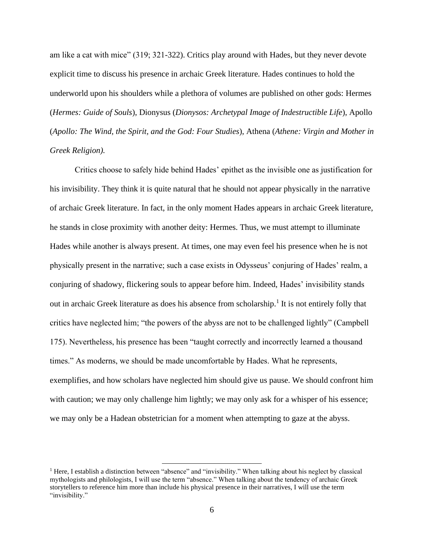am like a cat with mice" (319; 321-322). Critics play around with Hades, but they never devote explicit time to discuss his presence in archaic Greek literature. Hades continues to hold the underworld upon his shoulders while a plethora of volumes are published on other gods: Hermes (*Hermes: Guide of Souls*), Dionysus (*Dionysos: Archetypal Image of Indestructible Life*), Apollo (*Apollo: The Wind, the Spirit, and the God: Four Studies*), Athena (*Athene: Virgin and Mother in Greek Religion).* 

Critics choose to safely hide behind Hades' epithet as the invisible one as justification for his invisibility. They think it is quite natural that he should not appear physically in the narrative of archaic Greek literature. In fact, in the only moment Hades appears in archaic Greek literature, he stands in close proximity with another deity: Hermes. Thus, we must attempt to illuminate Hades while another is always present. At times, one may even feel his presence when he is not physically present in the narrative; such a case exists in Odysseus' conjuring of Hades' realm, a conjuring of shadowy, flickering souls to appear before him. Indeed, Hades' invisibility stands out in archaic Greek literature as does his absence from scholarship.<sup>1</sup> It is not entirely folly that critics have neglected him; "the powers of the abyss are not to be challenged lightly" (Campbell 175). Nevertheless, his presence has been "taught correctly and incorrectly learned a thousand times." As moderns, we should be made uncomfortable by Hades. What he represents, exemplifies, and how scholars have neglected him should give us pause. We should confront him with caution; we may only challenge him lightly; we may only ask for a whisper of his essence; we may only be a Hadean obstetrician for a moment when attempting to gaze at the abyss.

<sup>&</sup>lt;sup>1</sup> Here, I establish a distinction between "absence" and "invisibility." When talking about his neglect by classical mythologists and philologists, I will use the term "absence." When talking about the tendency of archaic Greek storytellers to reference him more than include his physical presence in their narratives, I will use the term "invisibility."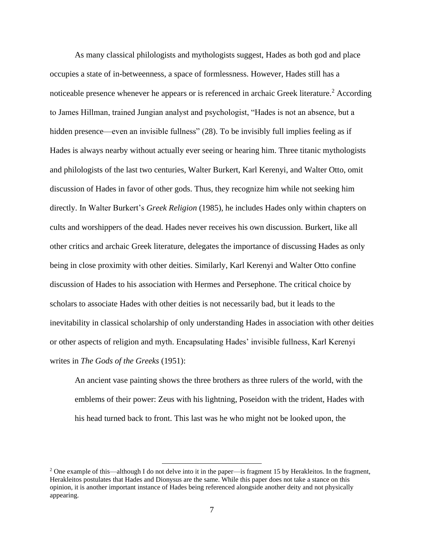As many classical philologists and mythologists suggest, Hades as both god and place occupies a state of in-betweenness, a space of formlessness. However, Hades still has a noticeable presence whenever he appears or is referenced in archaic Greek literature.<sup>2</sup> According to James Hillman, trained Jungian analyst and psychologist, "Hades is not an absence, but a hidden presence—even an invisible fullness" (28). To be invisibly full implies feeling as if Hades is always nearby without actually ever seeing or hearing him. Three titanic mythologists and philologists of the last two centuries, Walter Burkert, Karl Kerenyi, and Walter Otto, omit discussion of Hades in favor of other gods. Thus, they recognize him while not seeking him directly. In Walter Burkert's *Greek Religion* (1985), he includes Hades only within chapters on cults and worshippers of the dead. Hades never receives his own discussion. Burkert, like all other critics and archaic Greek literature, delegates the importance of discussing Hades as only being in close proximity with other deities. Similarly, Karl Kerenyi and Walter Otto confine discussion of Hades to his association with Hermes and Persephone. The critical choice by scholars to associate Hades with other deities is not necessarily bad, but it leads to the inevitability in classical scholarship of only understanding Hades in association with other deities or other aspects of religion and myth. Encapsulating Hades' invisible fullness, Karl Kerenyi writes in *The Gods of the Greeks* (1951):

An ancient vase painting shows the three brothers as three rulers of the world, with the emblems of their power: Zeus with his lightning, Poseidon with the trident, Hades with his head turned back to front. This last was he who might not be looked upon, the

<sup>&</sup>lt;sup>2</sup> One example of this—although I do not delve into it in the paper—is fragment 15 by Herakleitos. In the fragment, Herakleitos postulates that Hades and Dionysus are the same. While this paper does not take a stance on this opinion, it is another important instance of Hades being referenced alongside another deity and not physically appearing.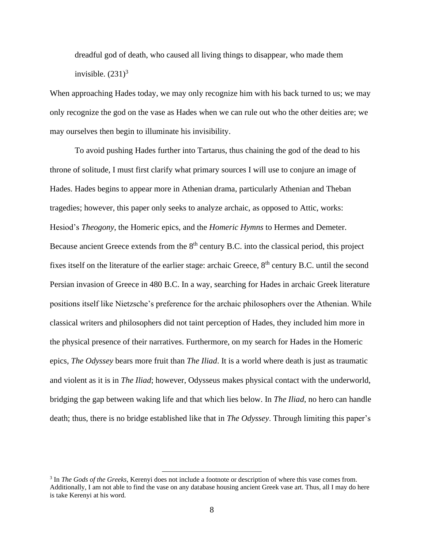dreadful god of death, who caused all living things to disappear, who made them invisible.  $(231)^3$ 

When approaching Hades today, we may only recognize him with his back turned to us; we may only recognize the god on the vase as Hades when we can rule out who the other deities are; we may ourselves then begin to illuminate his invisibility.

To avoid pushing Hades further into Tartarus, thus chaining the god of the dead to his throne of solitude, I must first clarify what primary sources I will use to conjure an image of Hades. Hades begins to appear more in Athenian drama, particularly Athenian and Theban tragedies; however, this paper only seeks to analyze archaic, as opposed to Attic, works: Hesiod's *Theogony*, the Homeric epics, and the *Homeric Hymns* to Hermes and Demeter. Because ancient Greece extends from the 8<sup>th</sup> century B.C. into the classical period, this project fixes itself on the literature of the earlier stage: archaic Greece,  $8<sup>th</sup>$  century B.C. until the second Persian invasion of Greece in 480 B.C. In a way, searching for Hades in archaic Greek literature positions itself like Nietzsche's preference for the archaic philosophers over the Athenian. While classical writers and philosophers did not taint perception of Hades, they included him more in the physical presence of their narratives. Furthermore, on my search for Hades in the Homeric epics, *The Odyssey* bears more fruit than *The Iliad*. It is a world where death is just as traumatic and violent as it is in *The Iliad*; however, Odysseus makes physical contact with the underworld, bridging the gap between waking life and that which lies below. In *The Iliad*, no hero can handle death; thus, there is no bridge established like that in *The Odyssey*. Through limiting this paper's

<sup>&</sup>lt;sup>3</sup> In *The Gods of the Greeks*, Kerenyi does not include a footnote or description of where this vase comes from. Additionally, I am not able to find the vase on any database housing ancient Greek vase art. Thus, all I may do here is take Kerenyi at his word.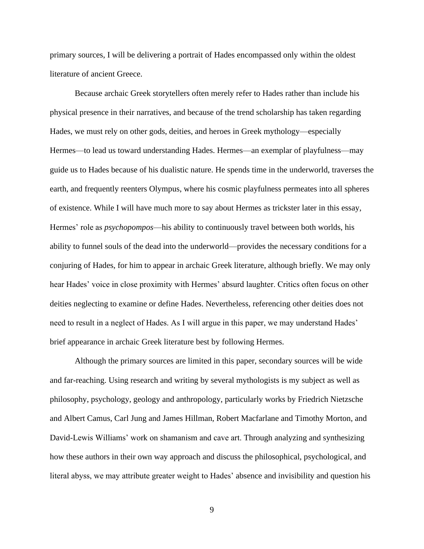primary sources, I will be delivering a portrait of Hades encompassed only within the oldest literature of ancient Greece.

Because archaic Greek storytellers often merely refer to Hades rather than include his physical presence in their narratives, and because of the trend scholarship has taken regarding Hades, we must rely on other gods, deities, and heroes in Greek mythology—especially Hermes—to lead us toward understanding Hades. Hermes—an exemplar of playfulness—may guide us to Hades because of his dualistic nature. He spends time in the underworld, traverses the earth, and frequently reenters Olympus, where his cosmic playfulness permeates into all spheres of existence. While I will have much more to say about Hermes as trickster later in this essay, Hermes' role as *psychopompos*—his ability to continuously travel between both worlds, his ability to funnel souls of the dead into the underworld—provides the necessary conditions for a conjuring of Hades, for him to appear in archaic Greek literature, although briefly. We may only hear Hades' voice in close proximity with Hermes' absurd laughter. Critics often focus on other deities neglecting to examine or define Hades. Nevertheless, referencing other deities does not need to result in a neglect of Hades. As I will argue in this paper, we may understand Hades' brief appearance in archaic Greek literature best by following Hermes.

Although the primary sources are limited in this paper, secondary sources will be wide and far-reaching. Using research and writing by several mythologists is my subject as well as philosophy, psychology, geology and anthropology, particularly works by Friedrich Nietzsche and Albert Camus, Carl Jung and James Hillman, Robert Macfarlane and Timothy Morton, and David-Lewis Williams' work on shamanism and cave art. Through analyzing and synthesizing how these authors in their own way approach and discuss the philosophical, psychological, and literal abyss, we may attribute greater weight to Hades' absence and invisibility and question his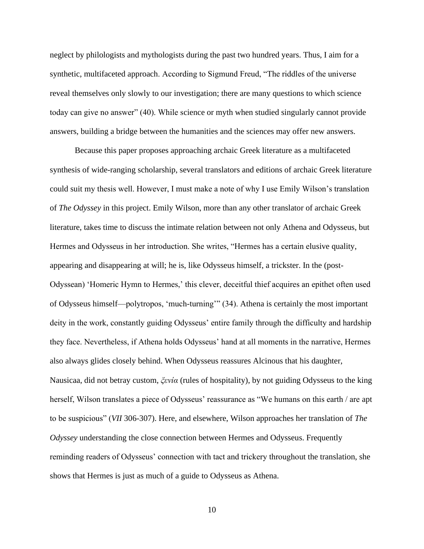neglect by philologists and mythologists during the past two hundred years. Thus, I aim for a synthetic, multifaceted approach. According to Sigmund Freud, "The riddles of the universe reveal themselves only slowly to our investigation; there are many questions to which science today can give no answer" (40). While science or myth when studied singularly cannot provide answers, building a bridge between the humanities and the sciences may offer new answers.

Because this paper proposes approaching archaic Greek literature as a multifaceted synthesis of wide-ranging scholarship, several translators and editions of archaic Greek literature could suit my thesis well. However, I must make a note of why I use Emily Wilson's translation of *The Odyssey* in this project. Emily Wilson, more than any other translator of archaic Greek literature, takes time to discuss the intimate relation between not only Athena and Odysseus, but Hermes and Odysseus in her introduction. She writes, "Hermes has a certain elusive quality, appearing and disappearing at will; he is, like Odysseus himself, a trickster. In the (post-Odyssean) 'Homeric Hymn to Hermes,' this clever, deceitful thief acquires an epithet often used of Odysseus himself—polytropos, 'much-turning'" (34). Athena is certainly the most important deity in the work, constantly guiding Odysseus' entire family through the difficulty and hardship they face. Nevertheless, if Athena holds Odysseus' hand at all moments in the narrative, Hermes also always glides closely behind. When Odysseus reassures Alcinous that his daughter, Nausicaa, did not betray custom, *ξενία* (rules of hospitality), by not guiding Odysseus to the king herself, Wilson translates a piece of Odysseus' reassurance as "We humans on this earth / are apt to be suspicious" (*VII* 306-307). Here, and elsewhere, Wilson approaches her translation of *The Odyssey* understanding the close connection between Hermes and Odysseus. Frequently reminding readers of Odysseus' connection with tact and trickery throughout the translation, she shows that Hermes is just as much of a guide to Odysseus as Athena.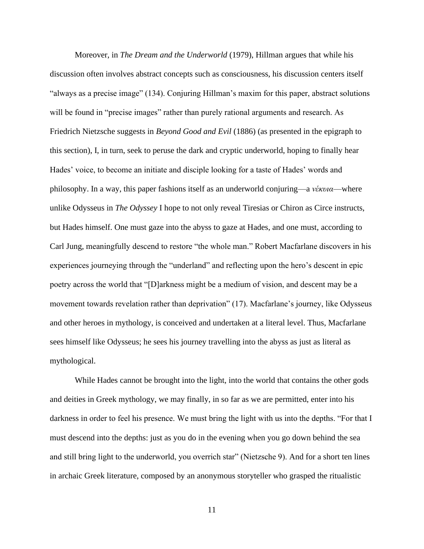Moreover, in *The Dream and the Underworld* (1979), Hillman argues that while his discussion often involves abstract concepts such as consciousness, his discussion centers itself "always as a precise image" (134). Conjuring Hillman's maxim for this paper, abstract solutions will be found in "precise images" rather than purely rational arguments and research. As Friedrich Nietzsche suggests in *Beyond Good and Evil* (1886) (as presented in the epigraph to this section), I, in turn, seek to peruse the dark and cryptic underworld, hoping to finally hear Hades' voice, to become an initiate and disciple looking for a taste of Hades' words and philosophy. In a way, this paper fashions itself as an underworld conjuring—a *νέκυια*—where unlike Odysseus in *The Odyssey* I hope to not only reveal Tiresias or Chiron as Circe instructs, but Hades himself. One must gaze into the abyss to gaze at Hades, and one must, according to Carl Jung, meaningfully descend to restore "the whole man." Robert Macfarlane discovers in his experiences journeying through the "underland" and reflecting upon the hero's descent in epic poetry across the world that "[D]arkness might be a medium of vision, and descent may be a movement towards revelation rather than deprivation" (17). Macfarlane's journey, like Odysseus and other heroes in mythology, is conceived and undertaken at a literal level. Thus, Macfarlane sees himself like Odysseus; he sees his journey travelling into the abyss as just as literal as mythological.

While Hades cannot be brought into the light, into the world that contains the other gods and deities in Greek mythology, we may finally, in so far as we are permitted, enter into his darkness in order to feel his presence. We must bring the light with us into the depths. "For that I must descend into the depths: just as you do in the evening when you go down behind the sea and still bring light to the underworld, you overrich star" (Nietzsche 9). And for a short ten lines in archaic Greek literature, composed by an anonymous storyteller who grasped the ritualistic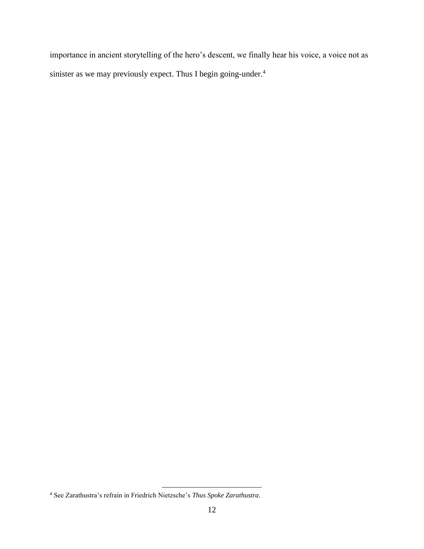importance in ancient storytelling of the hero's descent, we finally hear his voice, a voice not as sinister as we may previously expect. Thus I begin going-under.<sup>4</sup>

<sup>4</sup> See Zarathustra's refrain in Friedrich Nietzsche's *Thus Spoke Zarathustra*.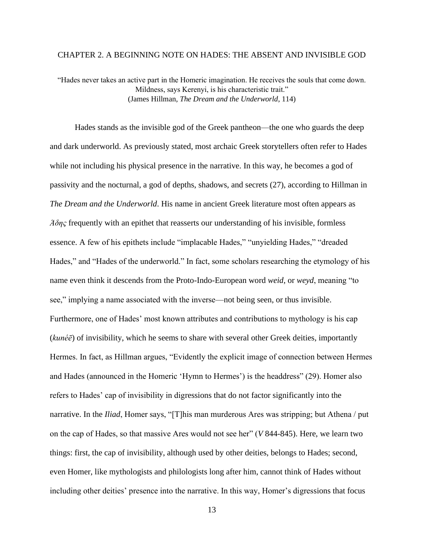#### <span id="page-13-0"></span>CHAPTER 2. A BEGINNING NOTE ON HADES: THE ABSENT AND INVISIBLE GOD

"Hades never takes an active part in the Homeric imagination. He receives the souls that come down. Mildness, says Kerenyi, is his characteristic trait." (James Hillman, *The Dream and the Underworld*, 114)

Hades stands as the invisible god of the Greek pantheon—the one who guards the deep and dark underworld. As previously stated, most archaic Greek storytellers often refer to Hades while not including his physical presence in the narrative. In this way, he becomes a god of passivity and the nocturnal, a god of depths, shadows, and secrets (27), according to Hillman in *The Dream and the Underworld*. His name in ancient Greek literature most often appears as *Άδης* frequently with an epithet that reasserts our understanding of his invisible, formless essence. A few of his epithets include "implacable Hades," "unyielding Hades," "dreaded Hades," and "Hades of the underworld." In fact, some scholars researching the etymology of his name even think it descends from the Proto-Indo-European word *weid*, or *weyd*, meaning "to see," implying a name associated with the inverse—not being seen, or thus invisible. Furthermore, one of Hades' most known attributes and contributions to mythology is his cap (*kunéē*) of invisibility, which he seems to share with several other Greek deities, importantly Hermes. In fact, as Hillman argues, "Evidently the explicit image of connection between Hermes and Hades (announced in the Homeric 'Hymn to Hermes') is the headdress" (29). Homer also refers to Hades' cap of invisibility in digressions that do not factor significantly into the narrative. In the *Iliad*, Homer says, "[T]his man murderous Ares was stripping; but Athena / put on the cap of Hades, so that massive Ares would not see her" (*V* 844-845). Here, we learn two things: first, the cap of invisibility, although used by other deities, belongs to Hades; second, even Homer, like mythologists and philologists long after him, cannot think of Hades without including other deities' presence into the narrative. In this way, Homer's digressions that focus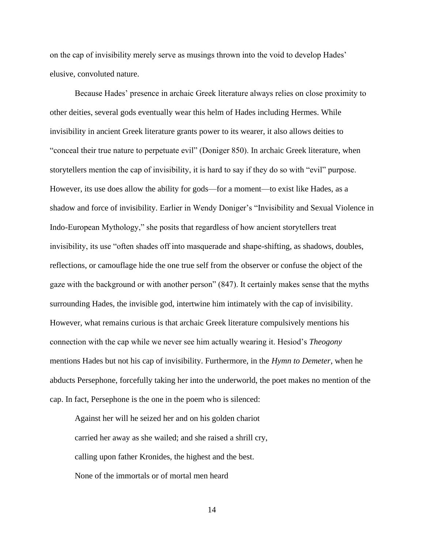on the cap of invisibility merely serve as musings thrown into the void to develop Hades' elusive, convoluted nature.

Because Hades' presence in archaic Greek literature always relies on close proximity to other deities, several gods eventually wear this helm of Hades including Hermes. While invisibility in ancient Greek literature grants power to its wearer, it also allows deities to "conceal their true nature to perpetuate evil" (Doniger 850). In archaic Greek literature, when storytellers mention the cap of invisibility, it is hard to say if they do so with "evil" purpose. However, its use does allow the ability for gods—for a moment—to exist like Hades, as a shadow and force of invisibility. Earlier in Wendy Doniger's "Invisibility and Sexual Violence in Indo-European Mythology," she posits that regardless of how ancient storytellers treat invisibility, its use "often shades off into masquerade and shape-shifting, as shadows, doubles, reflections, or camouflage hide the one true self from the observer or confuse the object of the gaze with the background or with another person" (847). It certainly makes sense that the myths surrounding Hades, the invisible god, intertwine him intimately with the cap of invisibility. However, what remains curious is that archaic Greek literature compulsively mentions his connection with the cap while we never see him actually wearing it. Hesiod's *Theogony* mentions Hades but not his cap of invisibility. Furthermore, in the *Hymn to Demeter*, when he abducts Persephone, forcefully taking her into the underworld, the poet makes no mention of the cap. In fact, Persephone is the one in the poem who is silenced:

Against her will he seized her and on his golden chariot carried her away as she wailed; and she raised a shrill cry, calling upon father Kronides, the highest and the best. None of the immortals or of mortal men heard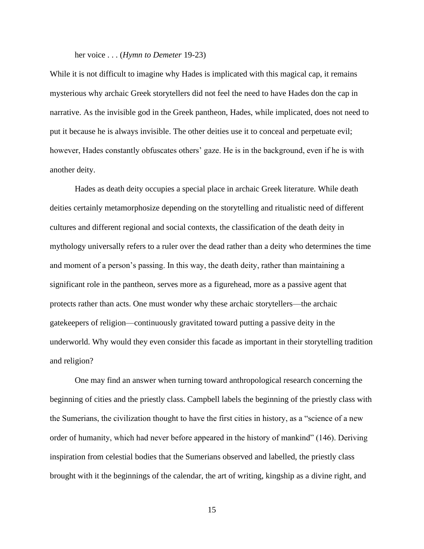#### her voice . . . (*Hymn to Demeter* 19-23)

While it is not difficult to imagine why Hades is implicated with this magical cap, it remains mysterious why archaic Greek storytellers did not feel the need to have Hades don the cap in narrative. As the invisible god in the Greek pantheon, Hades, while implicated, does not need to put it because he is always invisible. The other deities use it to conceal and perpetuate evil; however, Hades constantly obfuscates others' gaze. He is in the background, even if he is with another deity.

Hades as death deity occupies a special place in archaic Greek literature. While death deities certainly metamorphosize depending on the storytelling and ritualistic need of different cultures and different regional and social contexts, the classification of the death deity in mythology universally refers to a ruler over the dead rather than a deity who determines the time and moment of a person's passing. In this way, the death deity, rather than maintaining a significant role in the pantheon, serves more as a figurehead, more as a passive agent that protects rather than acts. One must wonder why these archaic storytellers—the archaic gatekeepers of religion—continuously gravitated toward putting a passive deity in the underworld. Why would they even consider this facade as important in their storytelling tradition and religion?

One may find an answer when turning toward anthropological research concerning the beginning of cities and the priestly class. Campbell labels the beginning of the priestly class with the Sumerians, the civilization thought to have the first cities in history, as a "science of a new order of humanity, which had never before appeared in the history of mankind" (146). Deriving inspiration from celestial bodies that the Sumerians observed and labelled, the priestly class brought with it the beginnings of the calendar, the art of writing, kingship as a divine right, and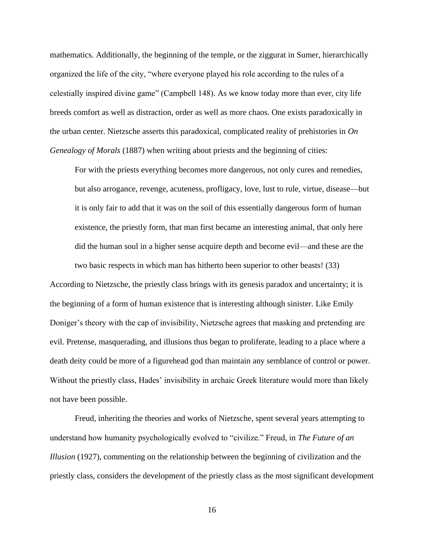mathematics. Additionally, the beginning of the temple, or the ziggurat in Sumer, hierarchically organized the life of the city, "where everyone played his role according to the rules of a celestially inspired divine game" (Campbell 148). As we know today more than ever, city life breeds comfort as well as distraction, order as well as more chaos. One exists paradoxically in the urban center. Nietzsche asserts this paradoxical, complicated reality of prehistories in *On Genealogy of Morals* (1887) when writing about priests and the beginning of cities:

For with the priests everything becomes more dangerous, not only cures and remedies, but also arrogance, revenge, acuteness, profligacy, love, lust to rule, virtue, disease—but it is only fair to add that it was on the soil of this essentially dangerous form of human existence, the priestly form, that man first became an interesting animal, that only here did the human soul in a higher sense acquire depth and become evil—and these are the two basic respects in which man has hitherto been superior to other beasts! (33)

According to Nietzsche, the priestly class brings with its genesis paradox and uncertainty; it is the beginning of a form of human existence that is interesting although sinister. Like Emily Doniger's theory with the cap of invisibility, Nietzsche agrees that masking and pretending are evil. Pretense, masquerading, and illusions thus began to proliferate, leading to a place where a death deity could be more of a figurehead god than maintain any semblance of control or power. Without the priestly class, Hades' invisibility in archaic Greek literature would more than likely not have been possible.

Freud, inheriting the theories and works of Nietzsche, spent several years attempting to understand how humanity psychologically evolved to "civilize." Freud, in *The Future of an Illusion* (1927), commenting on the relationship between the beginning of civilization and the priestly class, considers the development of the priestly class as the most significant development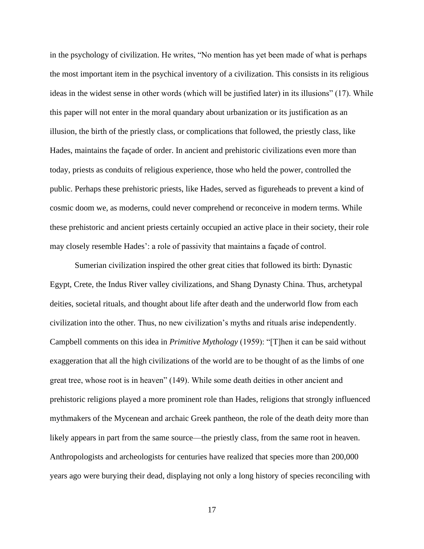in the psychology of civilization. He writes, "No mention has yet been made of what is perhaps the most important item in the psychical inventory of a civilization. This consists in its religious ideas in the widest sense in other words (which will be justified later) in its illusions" (17). While this paper will not enter in the moral quandary about urbanization or its justification as an illusion, the birth of the priestly class, or complications that followed, the priestly class, like Hades, maintains the façade of order. In ancient and prehistoric civilizations even more than today, priests as conduits of religious experience, those who held the power, controlled the public. Perhaps these prehistoric priests, like Hades, served as figureheads to prevent a kind of cosmic doom we, as moderns, could never comprehend or reconceive in modern terms. While these prehistoric and ancient priests certainly occupied an active place in their society, their role may closely resemble Hades': a role of passivity that maintains a façade of control.

Sumerian civilization inspired the other great cities that followed its birth: Dynastic Egypt, Crete, the Indus River valley civilizations, and Shang Dynasty China. Thus, archetypal deities, societal rituals, and thought about life after death and the underworld flow from each civilization into the other. Thus, no new civilization's myths and rituals arise independently. Campbell comments on this idea in *Primitive Mythology* (1959): "[T]hen it can be said without exaggeration that all the high civilizations of the world are to be thought of as the limbs of one great tree, whose root is in heaven" (149). While some death deities in other ancient and prehistoric religions played a more prominent role than Hades, religions that strongly influenced mythmakers of the Mycenean and archaic Greek pantheon, the role of the death deity more than likely appears in part from the same source—the priestly class, from the same root in heaven. Anthropologists and archeologists for centuries have realized that species more than 200,000 years ago were burying their dead, displaying not only a long history of species reconciling with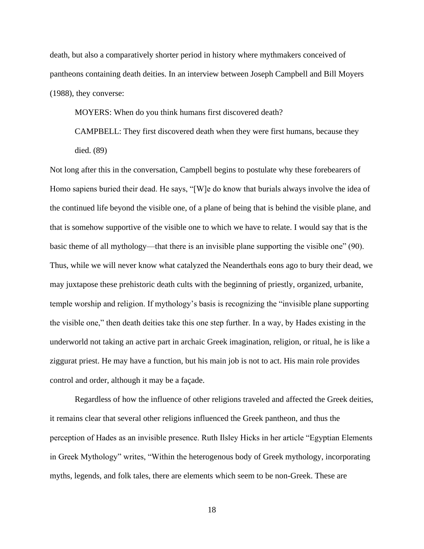death, but also a comparatively shorter period in history where mythmakers conceived of pantheons containing death deities. In an interview between Joseph Campbell and Bill Moyers (1988), they converse:

MOYERS: When do you think humans first discovered death?

CAMPBELL: They first discovered death when they were first humans, because they died. (89)

Not long after this in the conversation, Campbell begins to postulate why these forebearers of Homo sapiens buried their dead. He says, "[W]e do know that burials always involve the idea of the continued life beyond the visible one, of a plane of being that is behind the visible plane, and that is somehow supportive of the visible one to which we have to relate. I would say that is the basic theme of all mythology—that there is an invisible plane supporting the visible one" (90). Thus, while we will never know what catalyzed the Neanderthals eons ago to bury their dead, we may juxtapose these prehistoric death cults with the beginning of priestly, organized, urbanite, temple worship and religion. If mythology's basis is recognizing the "invisible plane supporting the visible one," then death deities take this one step further. In a way, by Hades existing in the underworld not taking an active part in archaic Greek imagination, religion, or ritual, he is like a ziggurat priest. He may have a function, but his main job is not to act. His main role provides control and order, although it may be a façade.

Regardless of how the influence of other religions traveled and affected the Greek deities, it remains clear that several other religions influenced the Greek pantheon, and thus the perception of Hades as an invisible presence. Ruth Ilsley Hicks in her article "Egyptian Elements in Greek Mythology" writes, "Within the heterogenous body of Greek mythology, incorporating myths, legends, and folk tales, there are elements which seem to be non-Greek. These are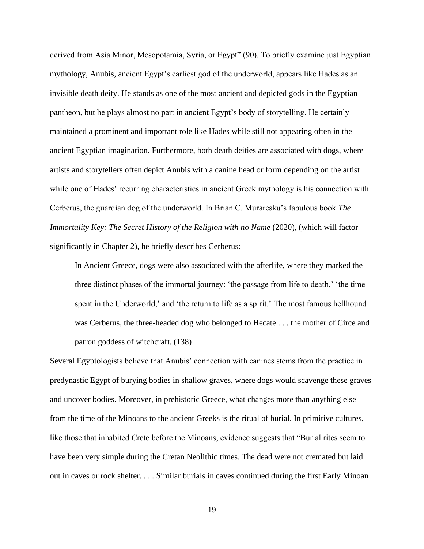derived from Asia Minor, Mesopotamia, Syria, or Egypt" (90). To briefly examine just Egyptian mythology, Anubis, ancient Egypt's earliest god of the underworld, appears like Hades as an invisible death deity. He stands as one of the most ancient and depicted gods in the Egyptian pantheon, but he plays almost no part in ancient Egypt's body of storytelling. He certainly maintained a prominent and important role like Hades while still not appearing often in the ancient Egyptian imagination. Furthermore, both death deities are associated with dogs, where artists and storytellers often depict Anubis with a canine head or form depending on the artist while one of Hades' recurring characteristics in ancient Greek mythology is his connection with Cerberus, the guardian dog of the underworld. In Brian C. Muraresku's fabulous book *The Immortality Key: The Secret History of the Religion with no Name (2020), (which will factor* significantly in Chapter 2), he briefly describes Cerberus:

In Ancient Greece, dogs were also associated with the afterlife, where they marked the three distinct phases of the immortal journey: 'the passage from life to death,' 'the time spent in the Underworld,' and 'the return to life as a spirit.' The most famous hellhound was Cerberus, the three-headed dog who belonged to Hecate . . . the mother of Circe and patron goddess of witchcraft. (138)

Several Egyptologists believe that Anubis' connection with canines stems from the practice in predynastic Egypt of burying bodies in shallow graves, where dogs would scavenge these graves and uncover bodies. Moreover, in prehistoric Greece, what changes more than anything else from the time of the Minoans to the ancient Greeks is the ritual of burial. In primitive cultures, like those that inhabited Crete before the Minoans, evidence suggests that "Burial rites seem to have been very simple during the Cretan Neolithic times. The dead were not cremated but laid out in caves or rock shelter. . . . Similar burials in caves continued during the first Early Minoan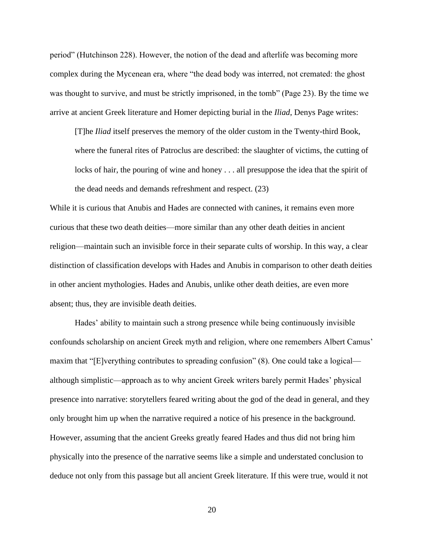period" (Hutchinson 228). However, the notion of the dead and afterlife was becoming more complex during the Mycenean era, where "the dead body was interred, not cremated: the ghost was thought to survive, and must be strictly imprisoned, in the tomb" (Page 23). By the time we arrive at ancient Greek literature and Homer depicting burial in the *Iliad*, Denys Page writes:

[T]he *Iliad* itself preserves the memory of the older custom in the Twenty-third Book, where the funeral rites of Patroclus are described: the slaughter of victims, the cutting of locks of hair, the pouring of wine and honey . . . all presuppose the idea that the spirit of the dead needs and demands refreshment and respect. (23)

While it is curious that Anubis and Hades are connected with canines, it remains even more curious that these two death deities—more similar than any other death deities in ancient religion—maintain such an invisible force in their separate cults of worship. In this way, a clear distinction of classification develops with Hades and Anubis in comparison to other death deities in other ancient mythologies. Hades and Anubis, unlike other death deities, are even more absent; thus, they are invisible death deities.

Hades' ability to maintain such a strong presence while being continuously invisible confounds scholarship on ancient Greek myth and religion, where one remembers Albert Camus' maxim that "[E]verything contributes to spreading confusion" (8). One could take a logical although simplistic—approach as to why ancient Greek writers barely permit Hades' physical presence into narrative: storytellers feared writing about the god of the dead in general, and they only brought him up when the narrative required a notice of his presence in the background. However, assuming that the ancient Greeks greatly feared Hades and thus did not bring him physically into the presence of the narrative seems like a simple and understated conclusion to deduce not only from this passage but all ancient Greek literature. If this were true, would it not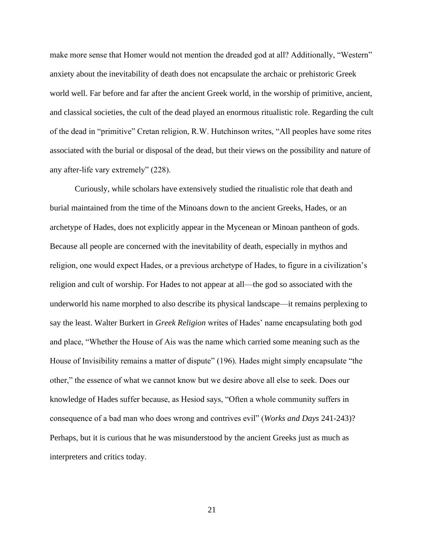make more sense that Homer would not mention the dreaded god at all? Additionally, "Western" anxiety about the inevitability of death does not encapsulate the archaic or prehistoric Greek world well. Far before and far after the ancient Greek world, in the worship of primitive, ancient, and classical societies, the cult of the dead played an enormous ritualistic role. Regarding the cult of the dead in "primitive" Cretan religion, R.W. Hutchinson writes, "All peoples have some rites associated with the burial or disposal of the dead, but their views on the possibility and nature of any after-life vary extremely" (228).

Curiously, while scholars have extensively studied the ritualistic role that death and burial maintained from the time of the Minoans down to the ancient Greeks, Hades, or an archetype of Hades, does not explicitly appear in the Mycenean or Minoan pantheon of gods. Because all people are concerned with the inevitability of death, especially in mythos and religion, one would expect Hades, or a previous archetype of Hades, to figure in a civilization's religion and cult of worship. For Hades to not appear at all—the god so associated with the underworld his name morphed to also describe its physical landscape—it remains perplexing to say the least. Walter Burkert in *Greek Religion* writes of Hades' name encapsulating both god and place, "Whether the House of Ais was the name which carried some meaning such as the House of Invisibility remains a matter of dispute" (196). Hades might simply encapsulate "the other," the essence of what we cannot know but we desire above all else to seek. Does our knowledge of Hades suffer because, as Hesiod says, "Often a whole community suffers in consequence of a bad man who does wrong and contrives evil" (*Works and Days* 241-243)? Perhaps, but it is curious that he was misunderstood by the ancient Greeks just as much as interpreters and critics today.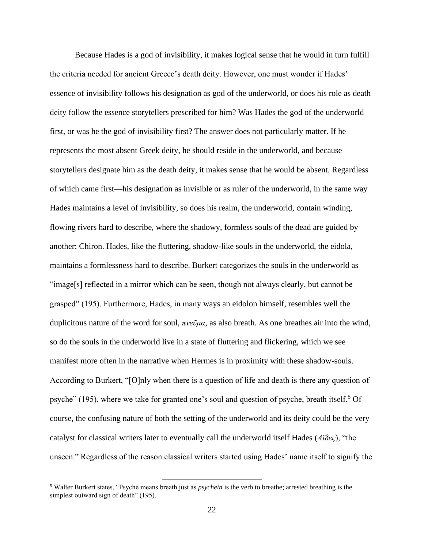Because Hades is a god of invisibility, it makes logical sense that he would in turn fulfill the criteria needed for ancient Greece's death deity. However, one must wonder if Hades' essence of invisibility follows his designation as god of the underworld, or does his role as death deity follow the essence storytellers prescribed for him? Was Hades the god of the underworld first, or was he the god of invisibility first? The answer does not particularly matter. If he represents the most absent Greek deity, he should reside in the underworld, and because storytellers designate him as the death deity, it makes sense that he would be absent. Regardless of which came first—his designation as invisible or as ruler of the underworld, in the same way Hades maintains a level of invisibility, so does his realm, the underworld, contain winding, flowing rivers hard to describe, where the shadowy, formless souls of the dead are guided by another: Chiron. Hades, like the fluttering, shadow-like souls in the underworld, the eidola, maintains a formlessness hard to describe. Burkert categorizes the souls in the underworld as "image[s] reflected in a mirror which can be seen, though not always clearly, but cannot be grasped" (195). Furthermore, Hades, in many ways an eidolon himself, resembles well the duplicitous nature of the word for soul, *πνεῦμα*, as also breath. As one breathes air into the wind, so do the souls in the underworld live in a state of fluttering and flickering, which we see manifest more often in the narrative when Hermes is in proximity with these shadow-souls. According to Burkert, "[O]nly when there is a question of life and death is there any question of psyche" (195), where we take for granted one's soul and question of psyche, breath itself.<sup>5</sup> Of course, the confusing nature of both the setting of the underworld and its deity could be the very catalyst for classical writers later to eventually call the underworld itself Hades (*Αϊδες*), "the unseen." Regardless of the reason classical writers started using Hades' name itself to signify the

<sup>5</sup> Walter Burkert states, "Psyche means breath just as *psychein* is the verb to breathe; arrested breathing is the simplest outward sign of death" (195).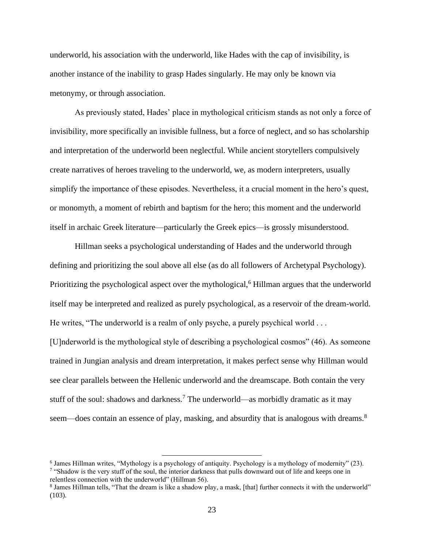underworld, his association with the underworld, like Hades with the cap of invisibility, is another instance of the inability to grasp Hades singularly. He may only be known via metonymy, or through association.

As previously stated, Hades' place in mythological criticism stands as not only a force of invisibility, more specifically an invisible fullness, but a force of neglect, and so has scholarship and interpretation of the underworld been neglectful. While ancient storytellers compulsively create narratives of heroes traveling to the underworld, we, as modern interpreters, usually simplify the importance of these episodes. Nevertheless, it a crucial moment in the hero's quest, or monomyth, a moment of rebirth and baptism for the hero; this moment and the underworld itself in archaic Greek literature—particularly the Greek epics—is grossly misunderstood.

Hillman seeks a psychological understanding of Hades and the underworld through defining and prioritizing the soul above all else (as do all followers of Archetypal Psychology). Prioritizing the psychological aspect over the mythological,<sup>6</sup> Hillman argues that the underworld itself may be interpreted and realized as purely psychological, as a reservoir of the dream-world. He writes, "The underworld is a realm of only psyche, a purely psychical world . . . [U]nderworld is the mythological style of describing a psychological cosmos" (46). As someone trained in Jungian analysis and dream interpretation, it makes perfect sense why Hillman would see clear parallels between the Hellenic underworld and the dreamscape. Both contain the very stuff of the soul: shadows and darkness.<sup>7</sup> The underworld—as morbidly dramatic as it may seem—does contain an essence of play, masking, and absurdity that is analogous with dreams.<sup>8</sup>

<sup>&</sup>lt;sup>6</sup> James Hillman writes, "Mythology is a psychology of antiquity. Psychology is a mythology of modernity" (23). <sup>7</sup> "Shadow is the very stuff of the soul, the interior darkness that pulls downward out of life and keeps one in

relentless connection with the underworld" (Hillman 56).

<sup>&</sup>lt;sup>8</sup> James Hillman tells, "That the dream is like a shadow play, a mask, [that] further connects it with the underworld" (103).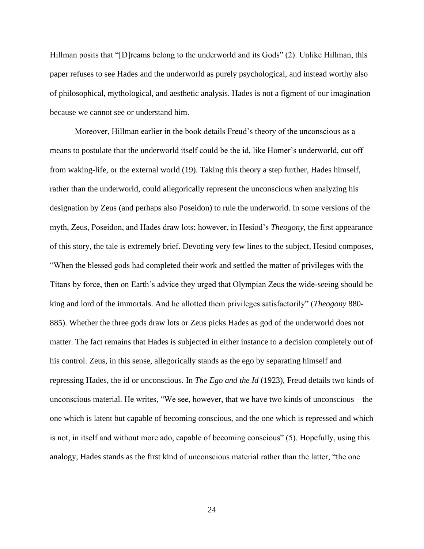Hillman posits that "[D]reams belong to the underworld and its Gods" (2). Unlike Hillman, this paper refuses to see Hades and the underworld as purely psychological, and instead worthy also of philosophical, mythological, and aesthetic analysis. Hades is not a figment of our imagination because we cannot see or understand him.

Moreover, Hillman earlier in the book details Freud's theory of the unconscious as a means to postulate that the underworld itself could be the id, like Homer's underworld, cut off from waking-life, or the external world (19). Taking this theory a step further, Hades himself, rather than the underworld, could allegorically represent the unconscious when analyzing his designation by Zeus (and perhaps also Poseidon) to rule the underworld. In some versions of the myth, Zeus, Poseidon, and Hades draw lots; however, in Hesiod's *Theogony*, the first appearance of this story, the tale is extremely brief. Devoting very few lines to the subject, Hesiod composes, "When the blessed gods had completed their work and settled the matter of privileges with the Titans by force, then on Earth's advice they urged that Olympian Zeus the wide-seeing should be king and lord of the immortals. And he allotted them privileges satisfactorily" (*Theogony* 880- 885). Whether the three gods draw lots or Zeus picks Hades as god of the underworld does not matter. The fact remains that Hades is subjected in either instance to a decision completely out of his control. Zeus, in this sense, allegorically stands as the ego by separating himself and repressing Hades, the id or unconscious. In *The Ego and the Id* (1923), Freud details two kinds of unconscious material. He writes, "We see, however, that we have two kinds of unconscious—the one which is latent but capable of becoming conscious, and the one which is repressed and which is not, in itself and without more ado, capable of becoming conscious" (5). Hopefully, using this analogy, Hades stands as the first kind of unconscious material rather than the latter, "the one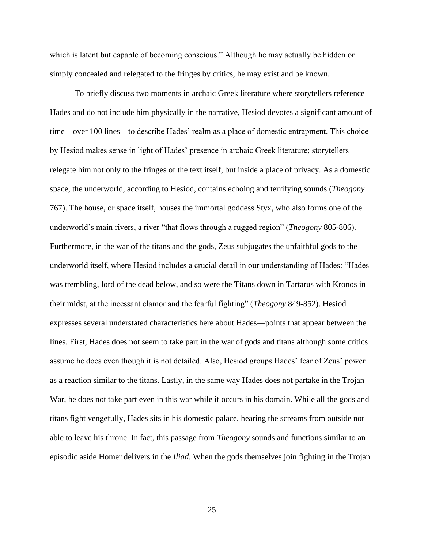which is latent but capable of becoming conscious." Although he may actually be hidden or simply concealed and relegated to the fringes by critics, he may exist and be known.

To briefly discuss two moments in archaic Greek literature where storytellers reference Hades and do not include him physically in the narrative, Hesiod devotes a significant amount of time—over 100 lines—to describe Hades' realm as a place of domestic entrapment. This choice by Hesiod makes sense in light of Hades' presence in archaic Greek literature; storytellers relegate him not only to the fringes of the text itself, but inside a place of privacy. As a domestic space, the underworld, according to Hesiod, contains echoing and terrifying sounds (*Theogony* 767). The house, or space itself, houses the immortal goddess Styx, who also forms one of the underworld's main rivers, a river "that flows through a rugged region" (*Theogony* 805-806). Furthermore, in the war of the titans and the gods, Zeus subjugates the unfaithful gods to the underworld itself, where Hesiod includes a crucial detail in our understanding of Hades: "Hades was trembling, lord of the dead below, and so were the Titans down in Tartarus with Kronos in their midst, at the incessant clamor and the fearful fighting" (*Theogony* 849-852). Hesiod expresses several understated characteristics here about Hades—points that appear between the lines. First, Hades does not seem to take part in the war of gods and titans although some critics assume he does even though it is not detailed. Also, Hesiod groups Hades' fear of Zeus' power as a reaction similar to the titans. Lastly, in the same way Hades does not partake in the Trojan War, he does not take part even in this war while it occurs in his domain. While all the gods and titans fight vengefully, Hades sits in his domestic palace, hearing the screams from outside not able to leave his throne. In fact, this passage from *Theogony* sounds and functions similar to an episodic aside Homer delivers in the *Iliad*. When the gods themselves join fighting in the Trojan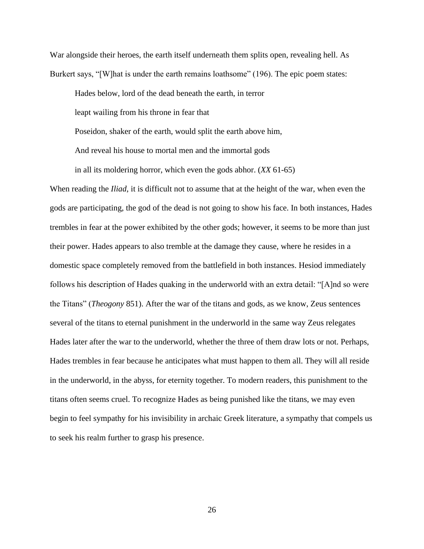War alongside their heroes, the earth itself underneath them splits open, revealing hell. As Burkert says, "[W]hat is under the earth remains loathsome" (196). The epic poem states:

Hades below, lord of the dead beneath the earth, in terror leapt wailing from his throne in fear that Poseidon, shaker of the earth, would split the earth above him, And reveal his house to mortal men and the immortal gods in all its moldering horror, which even the gods abhor. (*XX* 61-65)

When reading the *Iliad*, it is difficult not to assume that at the height of the war, when even the gods are participating, the god of the dead is not going to show his face. In both instances, Hades trembles in fear at the power exhibited by the other gods; however, it seems to be more than just their power. Hades appears to also tremble at the damage they cause, where he resides in a domestic space completely removed from the battlefield in both instances. Hesiod immediately follows his description of Hades quaking in the underworld with an extra detail: "[A]nd so were the Titans" (*Theogony* 851). After the war of the titans and gods, as we know, Zeus sentences several of the titans to eternal punishment in the underworld in the same way Zeus relegates Hades later after the war to the underworld, whether the three of them draw lots or not. Perhaps, Hades trembles in fear because he anticipates what must happen to them all. They will all reside in the underworld, in the abyss, for eternity together. To modern readers, this punishment to the titans often seems cruel. To recognize Hades as being punished like the titans, we may even begin to feel sympathy for his invisibility in archaic Greek literature, a sympathy that compels us to seek his realm further to grasp his presence.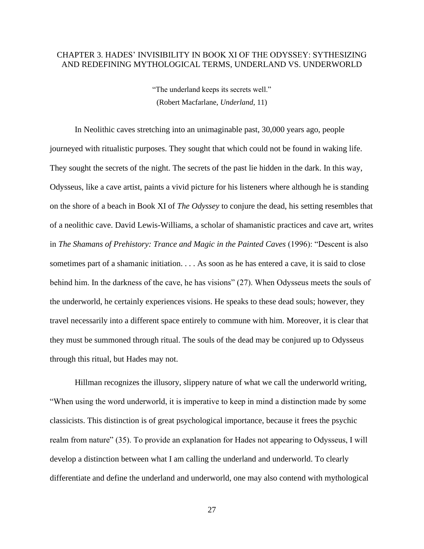#### <span id="page-27-0"></span>CHAPTER 3. HADES' INVISIBILITY IN BOOK XI OF THE ODYSSEY: SYTHESIZING AND REDEFINING MYTHOLOGICAL TERMS, UNDERLAND VS. UNDERWORLD

"The underland keeps its secrets well." (Robert Macfarlane, *Underland*, 11)

In Neolithic caves stretching into an unimaginable past, 30,000 years ago, people journeyed with ritualistic purposes. They sought that which could not be found in waking life. They sought the secrets of the night. The secrets of the past lie hidden in the dark. In this way, Odysseus, like a cave artist, paints a vivid picture for his listeners where although he is standing on the shore of a beach in Book XI of *The Odyssey* to conjure the dead, his setting resembles that of a neolithic cave. David Lewis-Williams, a scholar of shamanistic practices and cave art, writes in *The Shamans of Prehistory: Trance and Magic in the Painted Caves* (1996): "Descent is also sometimes part of a shamanic initiation. . . . As soon as he has entered a cave, it is said to close behind him. In the darkness of the cave, he has visions" (27). When Odysseus meets the souls of the underworld, he certainly experiences visions. He speaks to these dead souls; however, they travel necessarily into a different space entirely to commune with him. Moreover, it is clear that they must be summoned through ritual. The souls of the dead may be conjured up to Odysseus through this ritual, but Hades may not.

Hillman recognizes the illusory, slippery nature of what we call the underworld writing, "When using the word underworld, it is imperative to keep in mind a distinction made by some classicists. This distinction is of great psychological importance, because it frees the psychic realm from nature" (35). To provide an explanation for Hades not appearing to Odysseus, I will develop a distinction between what I am calling the underland and underworld. To clearly differentiate and define the underland and underworld, one may also contend with mythological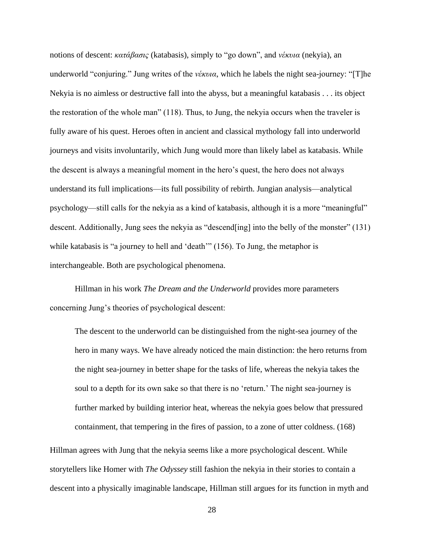notions of descent: *κατάβασις* (katabasis), simply to "go down", and *νέκυια* (nekyia), an underworld "conjuring." Jung writes of the *νέκυια*, which he labels the night sea-journey: "[T]he Nekyia is no aimless or destructive fall into the abyss, but a meaningful katabasis . . . its object the restoration of the whole man" (118). Thus, to Jung, the nekyia occurs when the traveler is fully aware of his quest. Heroes often in ancient and classical mythology fall into underworld journeys and visits involuntarily, which Jung would more than likely label as katabasis. While the descent is always a meaningful moment in the hero's quest, the hero does not always understand its full implications—its full possibility of rebirth. Jungian analysis—analytical psychology—still calls for the nekyia as a kind of katabasis, although it is a more "meaningful" descent. Additionally, Jung sees the nekyia as "descend[ing] into the belly of the monster" (131) while katabasis is "a journey to hell and 'death'" (156). To Jung, the metaphor is interchangeable. Both are psychological phenomena.

Hillman in his work *The Dream and the Underworld* provides more parameters concerning Jung's theories of psychological descent:

The descent to the underworld can be distinguished from the night-sea journey of the hero in many ways. We have already noticed the main distinction: the hero returns from the night sea-journey in better shape for the tasks of life, whereas the nekyia takes the soul to a depth for its own sake so that there is no 'return.' The night sea-journey is further marked by building interior heat, whereas the nekyia goes below that pressured containment, that tempering in the fires of passion, to a zone of utter coldness. (168)

Hillman agrees with Jung that the nekyia seems like a more psychological descent. While storytellers like Homer with *The Odyssey* still fashion the nekyia in their stories to contain a descent into a physically imaginable landscape, Hillman still argues for its function in myth and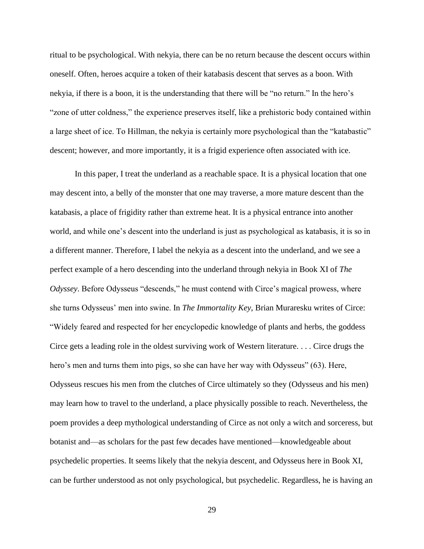ritual to be psychological. With nekyia, there can be no return because the descent occurs within oneself. Often, heroes acquire a token of their katabasis descent that serves as a boon. With nekyia, if there is a boon, it is the understanding that there will be "no return." In the hero's "zone of utter coldness," the experience preserves itself, like a prehistoric body contained within a large sheet of ice. To Hillman, the nekyia is certainly more psychological than the "katabastic" descent; however, and more importantly, it is a frigid experience often associated with ice.

In this paper, I treat the underland as a reachable space. It is a physical location that one may descent into, a belly of the monster that one may traverse, a more mature descent than the katabasis, a place of frigidity rather than extreme heat. It is a physical entrance into another world, and while one's descent into the underland is just as psychological as katabasis, it is so in a different manner. Therefore, I label the nekyia as a descent into the underland, and we see a perfect example of a hero descending into the underland through nekyia in Book XI of *The Odyssey*. Before Odysseus "descends," he must contend with Circe's magical prowess, where she turns Odysseus' men into swine. In *The Immortality Key*, Brian Muraresku writes of Circe: "Widely feared and respected for her encyclopedic knowledge of plants and herbs, the goddess Circe gets a leading role in the oldest surviving work of Western literature. . . . Circe drugs the hero's men and turns them into pigs, so she can have her way with Odysseus" (63). Here, Odysseus rescues his men from the clutches of Circe ultimately so they (Odysseus and his men) may learn how to travel to the underland, a place physically possible to reach. Nevertheless, the poem provides a deep mythological understanding of Circe as not only a witch and sorceress, but botanist and—as scholars for the past few decades have mentioned—knowledgeable about psychedelic properties. It seems likely that the nekyia descent, and Odysseus here in Book XI, can be further understood as not only psychological, but psychedelic. Regardless, he is having an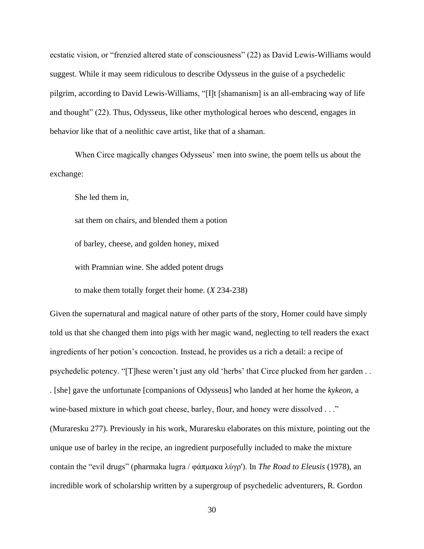ecstatic vision, or "frenzied altered state of consciousness" (22) as David Lewis-Williams would suggest. While it may seem ridiculous to describe Odysseus in the guise of a psychedelic pilgrim, according to David Lewis-Williams, "[I]t [shamanism] is an all-embracing way of life and thought" (22). Thus, Odysseus, like other mythological heroes who descend, engages in behavior like that of a neolithic cave artist, like that of a shaman.

When Circe magically changes Odysseus' men into swine, the poem tells us about the exchange:

She led them in,

sat them on chairs, and blended them a potion

of barley, cheese, and golden honey, mixed

with Pramnian wine. She added potent drugs

to make them totally forget their home. (*X* 234-238)

Given the supernatural and magical nature of other parts of the story, Homer could have simply told us that she changed them into pigs with her magic wand, neglecting to tell readers the exact ingredients of her potion's concoction. Instead, he provides us a rich a detail: a recipe of psychedelic potency. "[T]hese weren't just any old 'herbs' that Circe plucked from her garden . . . [she] gave the unfortunate [companions of Odysseus] who landed at her home the *kykeon*, a wine-based mixture in which goat cheese, barley, flour, and honey were dissolved . . ." (Muraresku 277). Previously in his work, Muraresku elaborates on this mixture, pointing out the unique use of barley in the recipe, an ingredient purposefully included to make the mixture contain the "evil drugs" (pharmaka lugra / φάπμακα λύγρ'). In *The Road to Eleusis* (1978), an incredible work of scholarship written by a supergroup of psychedelic adventurers, R. Gordon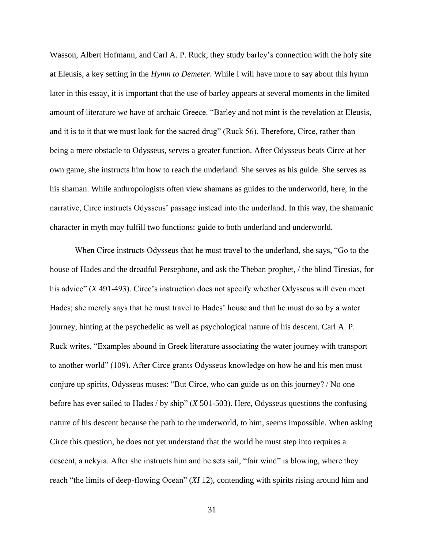Wasson, Albert Hofmann, and Carl A. P. Ruck, they study barley's connection with the holy site at Eleusis, a key setting in the *Hymn to Demeter*. While I will have more to say about this hymn later in this essay, it is important that the use of barley appears at several moments in the limited amount of literature we have of archaic Greece. "Barley and not mint is the revelation at Eleusis, and it is to it that we must look for the sacred drug" (Ruck 56). Therefore, Circe, rather than being a mere obstacle to Odysseus, serves a greater function. After Odysseus beats Circe at her own game, she instructs him how to reach the underland. She serves as his guide. She serves as his shaman. While anthropologists often view shamans as guides to the underworld, here, in the narrative, Circe instructs Odysseus' passage instead into the underland. In this way, the shamanic character in myth may fulfill two functions: guide to both underland and underworld.

When Circe instructs Odysseus that he must travel to the underland, she says, "Go to the house of Hades and the dreadful Persephone, and ask the Theban prophet, / the blind Tiresias, for his advice" (*X* 491-493). Circe's instruction does not specify whether Odysseus will even meet Hades; she merely says that he must travel to Hades' house and that he must do so by a water journey, hinting at the psychedelic as well as psychological nature of his descent. Carl A. P. Ruck writes, "Examples abound in Greek literature associating the water journey with transport to another world" (109). After Circe grants Odysseus knowledge on how he and his men must conjure up spirits, Odysseus muses: "But Circe, who can guide us on this journey? / No one before has ever sailed to Hades / by ship" (*X* 501-503). Here, Odysseus questions the confusing nature of his descent because the path to the underworld, to him, seems impossible. When asking Circe this question, he does not yet understand that the world he must step into requires a descent, a nekyia. After she instructs him and he sets sail, "fair wind" is blowing, where they reach "the limits of deep-flowing Ocean" (*XI* 12), contending with spirits rising around him and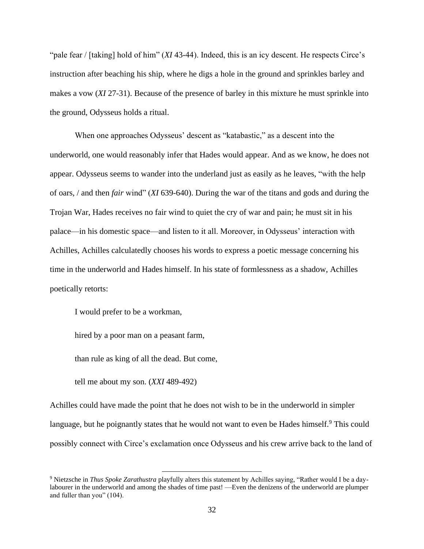"pale fear / [taking] hold of him" (*XI* 43-44). Indeed, this is an icy descent. He respects Circe's instruction after beaching his ship, where he digs a hole in the ground and sprinkles barley and makes a vow (*XI* 27-31). Because of the presence of barley in this mixture he must sprinkle into the ground, Odysseus holds a ritual.

When one approaches Odysseus' descent as "katabastic," as a descent into the underworld, one would reasonably infer that Hades would appear. And as we know, he does not appear. Odysseus seems to wander into the underland just as easily as he leaves, "with the help of oars, / and then *fair* wind" (*XI* 639-640). During the war of the titans and gods and during the Trojan War, Hades receives no fair wind to quiet the cry of war and pain; he must sit in his palace—in his domestic space—and listen to it all. Moreover, in Odysseus' interaction with Achilles, Achilles calculatedly chooses his words to express a poetic message concerning his time in the underworld and Hades himself. In his state of formlessness as a shadow, Achilles poetically retorts:

I would prefer to be a workman,

hired by a poor man on a peasant farm,

than rule as king of all the dead. But come,

tell me about my son. (*XXI* 489-492)

Achilles could have made the point that he does not wish to be in the underworld in simpler language, but he poignantly states that he would not want to even be Hades himself.<sup>9</sup> This could possibly connect with Circe's exclamation once Odysseus and his crew arrive back to the land of

<sup>9</sup> Nietzsche in *Thus Spoke Zarathustra* playfully alters this statement by Achilles saying, "Rather would I be a daylabourer in the underworld and among the shades of time past! —Even the denizens of the underworld are plumper and fuller than you" (104).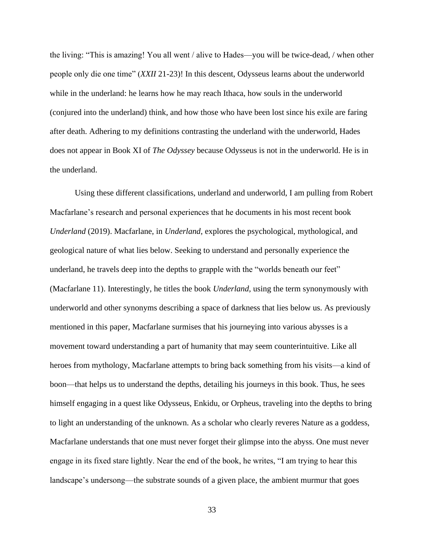the living: "This is amazing! You all went / alive to Hades—you will be twice-dead, / when other people only die one time" (*XXII* 21-23)! In this descent, Odysseus learns about the underworld while in the underland: he learns how he may reach Ithaca, how souls in the underworld (conjured into the underland) think, and how those who have been lost since his exile are faring after death. Adhering to my definitions contrasting the underland with the underworld, Hades does not appear in Book XI of *The Odyssey* because Odysseus is not in the underworld. He is in the underland.

Using these different classifications, underland and underworld, I am pulling from Robert Macfarlane's research and personal experiences that he documents in his most recent book *Underland* (2019). Macfarlane, in *Underland*, explores the psychological, mythological, and geological nature of what lies below. Seeking to understand and personally experience the underland, he travels deep into the depths to grapple with the "worlds beneath our feet" (Macfarlane 11). Interestingly, he titles the book *Underland,* using the term synonymously with underworld and other synonyms describing a space of darkness that lies below us. As previously mentioned in this paper, Macfarlane surmises that his journeying into various abysses is a movement toward understanding a part of humanity that may seem counterintuitive. Like all heroes from mythology, Macfarlane attempts to bring back something from his visits—a kind of boon—that helps us to understand the depths, detailing his journeys in this book. Thus, he sees himself engaging in a quest like Odysseus, Enkidu, or Orpheus, traveling into the depths to bring to light an understanding of the unknown. As a scholar who clearly reveres Nature as a goddess, Macfarlane understands that one must never forget their glimpse into the abyss. One must never engage in its fixed stare lightly. Near the end of the book, he writes, "I am trying to hear this landscape's undersong—the substrate sounds of a given place, the ambient murmur that goes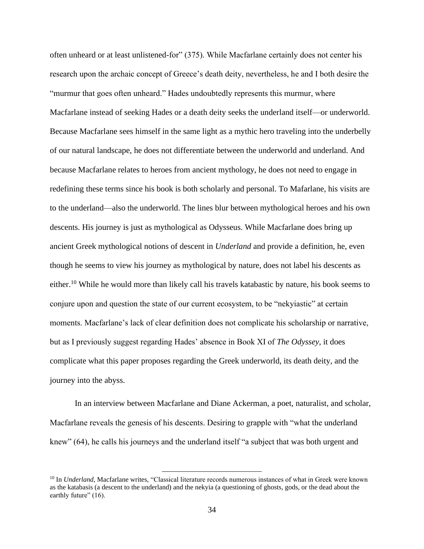often unheard or at least unlistened-for" (375). While Macfarlane certainly does not center his research upon the archaic concept of Greece's death deity, nevertheless, he and I both desire the "murmur that goes often unheard." Hades undoubtedly represents this murmur, where Macfarlane instead of seeking Hades or a death deity seeks the underland itself—or underworld. Because Macfarlane sees himself in the same light as a mythic hero traveling into the underbelly of our natural landscape, he does not differentiate between the underworld and underland. And because Macfarlane relates to heroes from ancient mythology, he does not need to engage in redefining these terms since his book is both scholarly and personal. To Mafarlane, his visits are to the underland—also the underworld. The lines blur between mythological heroes and his own descents. His journey is just as mythological as Odysseus. While Macfarlane does bring up ancient Greek mythological notions of descent in *Underland* and provide a definition, he, even though he seems to view his journey as mythological by nature, does not label his descents as either.<sup>10</sup> While he would more than likely call his travels katabastic by nature, his book seems to conjure upon and question the state of our current ecosystem, to be "nekyiastic" at certain moments. Macfarlane's lack of clear definition does not complicate his scholarship or narrative, but as I previously suggest regarding Hades' absence in Book XI of *The Odyssey,* it does complicate what this paper proposes regarding the Greek underworld, its death deity, and the journey into the abyss.

In an interview between Macfarlane and Diane Ackerman, a poet, naturalist, and scholar, Macfarlane reveals the genesis of his descents. Desiring to grapple with "what the underland knew" (64), he calls his journeys and the underland itself "a subject that was both urgent and

<sup>&</sup>lt;sup>10</sup> In *Underland*, Macfarlane writes, "Classical literature records numerous instances of what in Greek were known as the katabasis (a descent to the underland) and the nekyia (a questioning of ghosts, gods, or the dead about the earthly future" (16).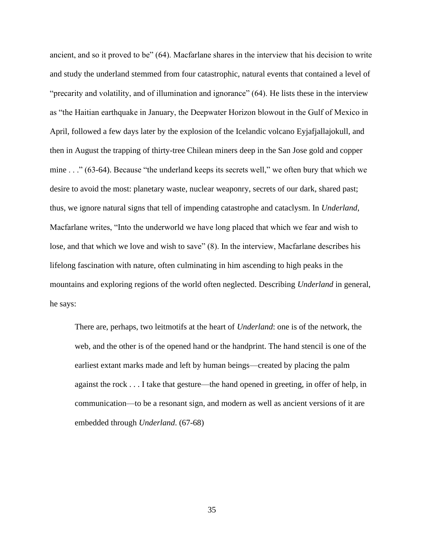ancient, and so it proved to be" (64). Macfarlane shares in the interview that his decision to write and study the underland stemmed from four catastrophic, natural events that contained a level of "precarity and volatility, and of illumination and ignorance" (64). He lists these in the interview as "the Haitian earthquake in January, the Deepwater Horizon blowout in the Gulf of Mexico in April, followed a few days later by the explosion of the Icelandic volcano Eyjafjallajokull, and then in August the trapping of thirty-tree Chilean miners deep in the San Jose gold and copper mine . . ." (63-64). Because "the underland keeps its secrets well," we often bury that which we desire to avoid the most: planetary waste, nuclear weaponry, secrets of our dark, shared past; thus, we ignore natural signs that tell of impending catastrophe and cataclysm. In *Underland*, Macfarlane writes, "Into the underworld we have long placed that which we fear and wish to lose, and that which we love and wish to save" (8). In the interview, Macfarlane describes his lifelong fascination with nature, often culminating in him ascending to high peaks in the mountains and exploring regions of the world often neglected. Describing *Underland* in general, he says:

There are, perhaps, two leitmotifs at the heart of *Underland*: one is of the network, the web, and the other is of the opened hand or the handprint. The hand stencil is one of the earliest extant marks made and left by human beings—created by placing the palm against the rock . . . I take that gesture—the hand opened in greeting, in offer of help, in communication—to be a resonant sign, and modern as well as ancient versions of it are embedded through *Underland*. (67-68)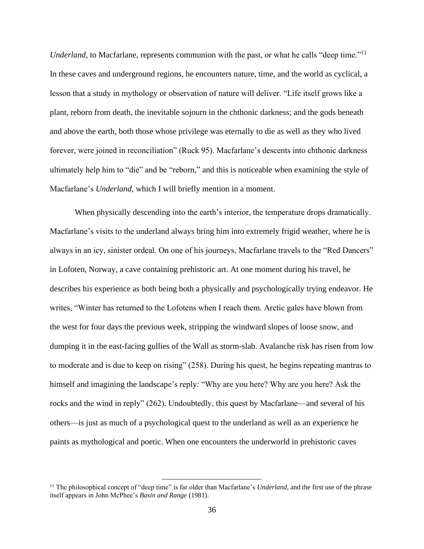*Underland*, to Macfarlane, represents communion with the past, or what he calls "deep time."<sup>11</sup> In these caves and underground regions, he encounters nature, time, and the world as cyclical, a lesson that a study in mythology or observation of nature will deliver. "Life itself grows like a plant, reborn from death, the inevitable sojourn in the chthonic darkness; and the gods beneath and above the earth, both those whose privilege was eternally to die as well as they who lived forever, were joined in reconciliation" (Ruck 95). Macfarlane's descents into chthonic darkness ultimately help him to "die" and be "reborn," and this is noticeable when examining the style of Macfarlane's *Underland*, which I will briefly mention in a moment.

When physically descending into the earth's interior, the temperature drops dramatically. Macfarlane's visits to the underland always bring him into extremely frigid weather, where he is always in an icy, sinister ordeal. On one of his journeys, Macfarlane travels to the "Red Dancers" in Lofoten, Norway, a cave containing prehistoric art. At one moment during his travel, he describes his experience as both being both a physically and psychologically trying endeavor. He writes, "Winter has returned to the Lofotens when I reach them. Arctic gales have blown from the west for four days the previous week, stripping the windward slopes of loose snow, and dumping it in the east-facing gullies of the Wall as storm-slab. Avalanche risk has risen from low to moderate and is due to keep on rising" (258). During his quest, he begins repeating mantras to himself and imagining the landscape's reply: "Why are you here? Why are you here? Ask the rocks and the wind in reply" (262). Undoubtedly, this quest by Macfarlane—and several of his others—is just as much of a psychological quest to the underland as well as an experience he paints as mythological and poetic. When one encounters the underworld in prehistoric caves

<sup>&</sup>lt;sup>11</sup> The philosophical concept of "deep time" is far older than Macfarlane's *Underland*, and the first use of the phrase itself appears in John McPhee's *Basin and Range* (1981).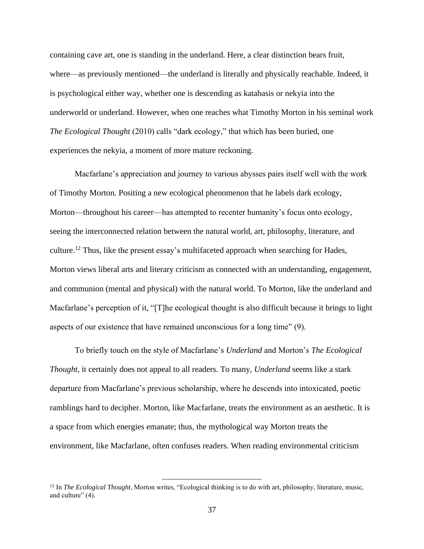containing cave art, one is standing in the underland. Here, a clear distinction bears fruit, where—as previously mentioned—the underland is literally and physically reachable. Indeed, it is psychological either way, whether one is descending as katabasis or nekyia into the underworld or underland. However, when one reaches what Timothy Morton in his seminal work *The Ecological Thought* (2010) calls "dark ecology," that which has been buried, one experiences the nekyia, a moment of more mature reckoning.

Macfarlane's appreciation and journey to various abysses pairs itself well with the work of Timothy Morton. Positing a new ecological phenomenon that he labels dark ecology, Morton—throughout his career—has attempted to recenter humanity's focus onto ecology, seeing the interconnected relation between the natural world, art, philosophy, literature, and culture.<sup>12</sup> Thus, like the present essay's multifaceted approach when searching for Hades, Morton views liberal arts and literary criticism as connected with an understanding, engagement, and communion (mental and physical) with the natural world. To Morton, like the underland and Macfarlane's perception of it, "[T]he ecological thought is also difficult because it brings to light aspects of our existence that have remained unconscious for a long time" (9).

To briefly touch on the style of Macfarlane's *Underland* and Morton's *The Ecological Thought*, it certainly does not appeal to all readers. To many, *Underland* seems like a stark departure from Macfarlane's previous scholarship, where he descends into intoxicated, poetic ramblings hard to decipher. Morton, like Macfarlane, treats the environment as an aesthetic. It is a space from which energies emanate; thus, the mythological way Morton treats the environment, like Macfarlane, often confuses readers. When reading environmental criticism

<sup>12</sup> In *The Ecological Thought*, Morton writes, "Ecological thinking is to do with art, philosophy, literature, music, and culture" (4).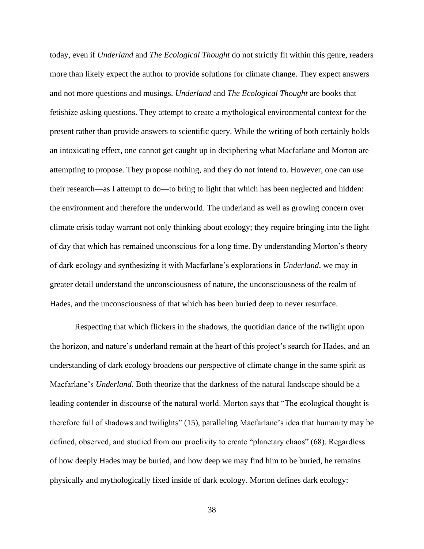today, even if *Underland* and *The Ecological Thought* do not strictly fit within this genre, readers more than likely expect the author to provide solutions for climate change. They expect answers and not more questions and musings. *Underland* and *The Ecological Thought* are books that fetishize asking questions. They attempt to create a mythological environmental context for the present rather than provide answers to scientific query. While the writing of both certainly holds an intoxicating effect, one cannot get caught up in deciphering what Macfarlane and Morton are attempting to propose. They propose nothing, and they do not intend to. However, one can use their research—as I attempt to do—to bring to light that which has been neglected and hidden: the environment and therefore the underworld. The underland as well as growing concern over climate crisis today warrant not only thinking about ecology; they require bringing into the light of day that which has remained unconscious for a long time. By understanding Morton's theory of dark ecology and synthesizing it with Macfarlane's explorations in *Underland*, we may in greater detail understand the unconsciousness of nature, the unconsciousness of the realm of Hades, and the unconsciousness of that which has been buried deep to never resurface.

Respecting that which flickers in the shadows, the quotidian dance of the twilight upon the horizon, and nature's underland remain at the heart of this project's search for Hades, and an understanding of dark ecology broadens our perspective of climate change in the same spirit as Macfarlane's *Underland*. Both theorize that the darkness of the natural landscape should be a leading contender in discourse of the natural world. Morton says that "The ecological thought is therefore full of shadows and twilights" (15), paralleling Macfarlane's idea that humanity may be defined, observed, and studied from our proclivity to create "planetary chaos" (68). Regardless of how deeply Hades may be buried, and how deep we may find him to be buried, he remains physically and mythologically fixed inside of dark ecology. Morton defines dark ecology: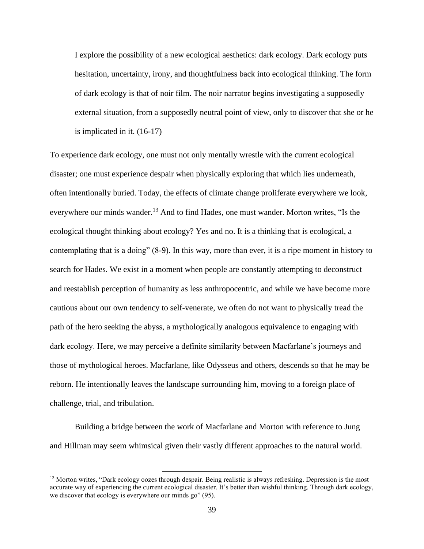I explore the possibility of a new ecological aesthetics: dark ecology. Dark ecology puts hesitation, uncertainty, irony, and thoughtfulness back into ecological thinking. The form of dark ecology is that of noir film. The noir narrator begins investigating a supposedly external situation, from a supposedly neutral point of view, only to discover that she or he is implicated in it. (16-17)

To experience dark ecology, one must not only mentally wrestle with the current ecological disaster; one must experience despair when physically exploring that which lies underneath, often intentionally buried. Today, the effects of climate change proliferate everywhere we look, everywhere our minds wander.<sup>13</sup> And to find Hades, one must wander. Morton writes, "Is the ecological thought thinking about ecology? Yes and no. It is a thinking that is ecological, a contemplating that is a doing" (8-9). In this way, more than ever, it is a ripe moment in history to search for Hades. We exist in a moment when people are constantly attempting to deconstruct and reestablish perception of humanity as less anthropocentric, and while we have become more cautious about our own tendency to self-venerate, we often do not want to physically tread the path of the hero seeking the abyss, a mythologically analogous equivalence to engaging with dark ecology. Here, we may perceive a definite similarity between Macfarlane's journeys and those of mythological heroes. Macfarlane, like Odysseus and others, descends so that he may be reborn. He intentionally leaves the landscape surrounding him, moving to a foreign place of challenge, trial, and tribulation.

Building a bridge between the work of Macfarlane and Morton with reference to Jung and Hillman may seem whimsical given their vastly different approaches to the natural world.

<sup>&</sup>lt;sup>13</sup> Morton writes, "Dark ecology oozes through despair. Being realistic is always refreshing. Depression is the most accurate way of experiencing the current ecological disaster. It's better than wishful thinking. Through dark ecology, we discover that ecology is everywhere our minds go" (95).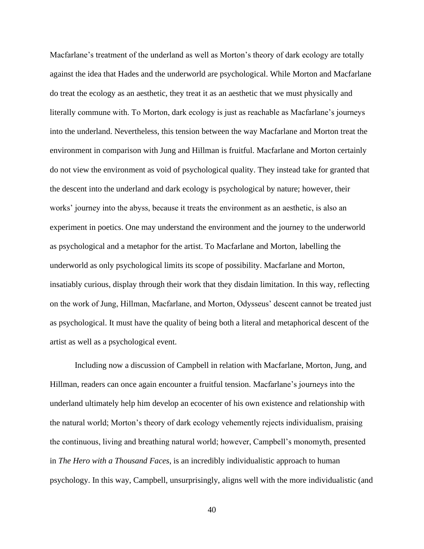Macfarlane's treatment of the underland as well as Morton's theory of dark ecology are totally against the idea that Hades and the underworld are psychological. While Morton and Macfarlane do treat the ecology as an aesthetic, they treat it as an aesthetic that we must physically and literally commune with. To Morton, dark ecology is just as reachable as Macfarlane's journeys into the underland. Nevertheless, this tension between the way Macfarlane and Morton treat the environment in comparison with Jung and Hillman is fruitful. Macfarlane and Morton certainly do not view the environment as void of psychological quality. They instead take for granted that the descent into the underland and dark ecology is psychological by nature; however, their works' journey into the abyss, because it treats the environment as an aesthetic, is also an experiment in poetics. One may understand the environment and the journey to the underworld as psychological and a metaphor for the artist. To Macfarlane and Morton, labelling the underworld as only psychological limits its scope of possibility. Macfarlane and Morton, insatiably curious, display through their work that they disdain limitation. In this way, reflecting on the work of Jung, Hillman, Macfarlane, and Morton, Odysseus' descent cannot be treated just as psychological. It must have the quality of being both a literal and metaphorical descent of the artist as well as a psychological event.

Including now a discussion of Campbell in relation with Macfarlane, Morton, Jung, and Hillman, readers can once again encounter a fruitful tension. Macfarlane's journeys into the underland ultimately help him develop an ecocenter of his own existence and relationship with the natural world; Morton's theory of dark ecology vehemently rejects individualism, praising the continuous, living and breathing natural world; however, Campbell's monomyth, presented in *The Hero with a Thousand Faces*, is an incredibly individualistic approach to human psychology. In this way, Campbell, unsurprisingly, aligns well with the more individualistic (and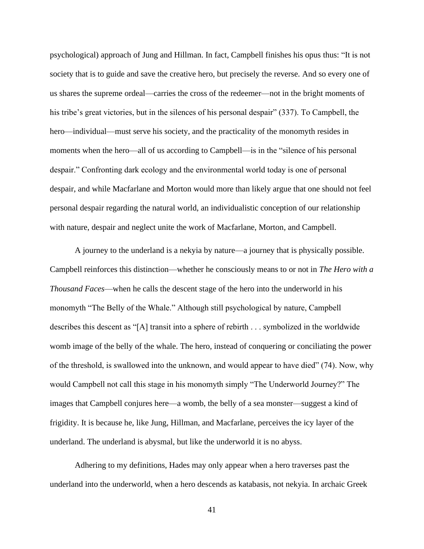psychological) approach of Jung and Hillman. In fact, Campbell finishes his opus thus: "It is not society that is to guide and save the creative hero, but precisely the reverse. And so every one of us shares the supreme ordeal—carries the cross of the redeemer—not in the bright moments of his tribe's great victories, but in the silences of his personal despair" (337). To Campbell, the hero—individual—must serve his society, and the practicality of the monomyth resides in moments when the hero—all of us according to Campbell—is in the "silence of his personal despair." Confronting dark ecology and the environmental world today is one of personal despair, and while Macfarlane and Morton would more than likely argue that one should not feel personal despair regarding the natural world, an individualistic conception of our relationship with nature, despair and neglect unite the work of Macfarlane, Morton, and Campbell.

A journey to the underland is a nekyia by nature—a journey that is physically possible. Campbell reinforces this distinction—whether he consciously means to or not in *The Hero with a Thousand Faces*—when he calls the descent stage of the hero into the underworld in his monomyth "The Belly of the Whale." Although still psychological by nature, Campbell describes this descent as "[A] transit into a sphere of rebirth . . . symbolized in the worldwide womb image of the belly of the whale. The hero, instead of conquering or conciliating the power of the threshold, is swallowed into the unknown, and would appear to have died" (74). Now, why would Campbell not call this stage in his monomyth simply "The Underworld Journey?" The images that Campbell conjures here—a womb, the belly of a sea monster—suggest a kind of frigidity. It is because he, like Jung, Hillman, and Macfarlane, perceives the icy layer of the underland. The underland is abysmal, but like the underworld it is no abyss.

Adhering to my definitions, Hades may only appear when a hero traverses past the underland into the underworld, when a hero descends as katabasis, not nekyia. In archaic Greek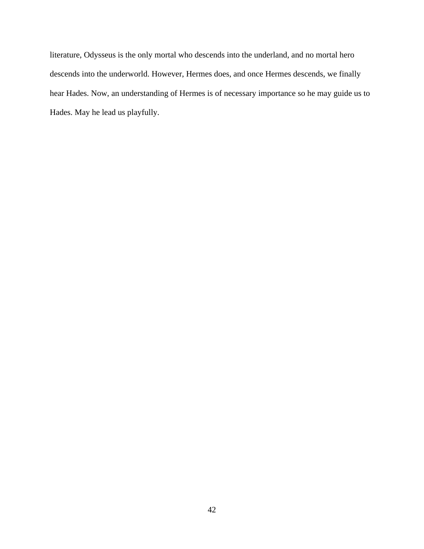literature, Odysseus is the only mortal who descends into the underland, and no mortal hero descends into the underworld. However, Hermes does, and once Hermes descends, we finally hear Hades. Now, an understanding of Hermes is of necessary importance so he may guide us to Hades. May he lead us playfully.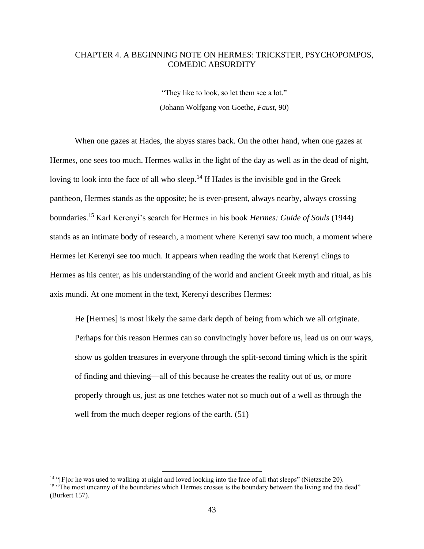## CHAPTER 4. A BEGINNING NOTE ON HERMES: TRICKSTER, PSYCHOPOMPOS, COMEDIC ABSURDITY

"They like to look, so let them see a lot." (Johann Wolfgang von Goethe, *Faust*, 90)

When one gazes at Hades, the abyss stares back. On the other hand, when one gazes at Hermes, one sees too much. Hermes walks in the light of the day as well as in the dead of night, loving to look into the face of all who sleep.<sup>14</sup> If Hades is the invisible god in the Greek pantheon, Hermes stands as the opposite; he is ever-present, always nearby, always crossing boundaries.<sup>15</sup> Karl Kerenyi's search for Hermes in his book *Hermes: Guide of Souls* (1944) stands as an intimate body of research, a moment where Kerenyi saw too much, a moment where Hermes let Kerenyi see too much. It appears when reading the work that Kerenyi clings to Hermes as his center, as his understanding of the world and ancient Greek myth and ritual, as his axis mundi. At one moment in the text, Kerenyi describes Hermes:

He [Hermes] is most likely the same dark depth of being from which we all originate. Perhaps for this reason Hermes can so convincingly hover before us, lead us on our ways, show us golden treasures in everyone through the split-second timing which is the spirit of finding and thieving—all of this because he creates the reality out of us, or more properly through us, just as one fetches water not so much out of a well as through the well from the much deeper regions of the earth. (51)

<sup>&</sup>lt;sup>14</sup> "[F]or he was used to walking at night and loved looking into the face of all that sleeps" (Nietzsche 20). <sup>15</sup> "The most uncanny of the boundaries which Hermes crosses is the boundary between the living and the dead" (Burkert 157).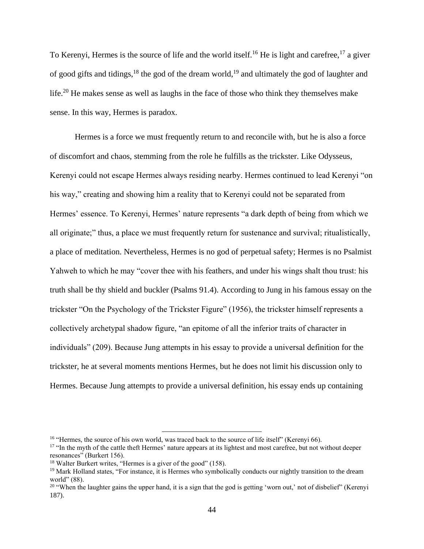To Kerenyi, Hermes is the source of life and the world itself.<sup>16</sup> He is light and carefree,<sup>17</sup> a giver of good gifts and tidings,  $^{18}$  the god of the dream world,  $^{19}$  and ultimately the god of laughter and life.<sup>20</sup> He makes sense as well as laughs in the face of those who think they themselves make sense. In this way, Hermes is paradox.

Hermes is a force we must frequently return to and reconcile with, but he is also a force of discomfort and chaos, stemming from the role he fulfills as the trickster. Like Odysseus, Kerenyi could not escape Hermes always residing nearby. Hermes continued to lead Kerenyi "on his way," creating and showing him a reality that to Kerenyi could not be separated from Hermes' essence. To Kerenyi, Hermes' nature represents "a dark depth of being from which we all originate;" thus, a place we must frequently return for sustenance and survival; ritualistically, a place of meditation. Nevertheless, Hermes is no god of perpetual safety; Hermes is no Psalmist Yahweh to which he may "cover thee with his feathers, and under his wings shalt thou trust: his truth shall be thy shield and buckler (Psalms 91.4). According to Jung in his famous essay on the trickster "On the Psychology of the Trickster Figure" (1956), the trickster himself represents a collectively archetypal shadow figure, "an epitome of all the inferior traits of character in individuals" (209). Because Jung attempts in his essay to provide a universal definition for the trickster, he at several moments mentions Hermes, but he does not limit his discussion only to Hermes. Because Jung attempts to provide a universal definition, his essay ends up containing

<sup>&</sup>lt;sup>16</sup> "Hermes, the source of his own world, was traced back to the source of life itself" (Kerenyi 66).

<sup>&</sup>lt;sup>17</sup> "In the myth of the cattle theft Hermes' nature appears at its lightest and most carefree, but not without deeper resonances" (Burkert 156).

<sup>&</sup>lt;sup>18</sup> Walter Burkert writes, "Hermes is a giver of the good" (158).

<sup>&</sup>lt;sup>19</sup> Mark Holland states, "For instance, it is Hermes who symbolically conducts our nightly transition to the dream world" (88).

<sup>&</sup>lt;sup>20</sup> "When the laughter gains the upper hand, it is a sign that the god is getting 'worn out,' not of disbelief" (Kerenyi 187).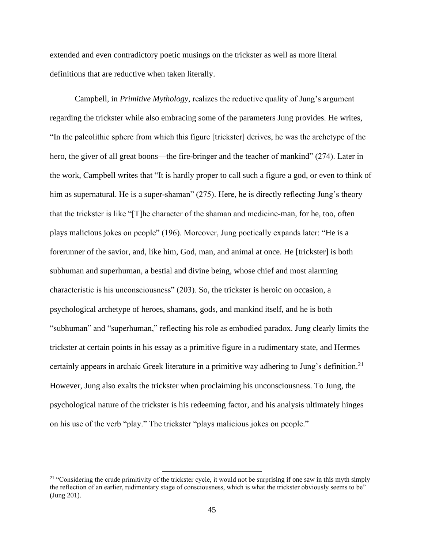extended and even contradictory poetic musings on the trickster as well as more literal definitions that are reductive when taken literally.

Campbell, in *Primitive Mythology*, realizes the reductive quality of Jung's argument regarding the trickster while also embracing some of the parameters Jung provides. He writes, "In the paleolithic sphere from which this figure [trickster] derives, he was the archetype of the hero, the giver of all great boons—the fire-bringer and the teacher of mankind" (274). Later in the work, Campbell writes that "It is hardly proper to call such a figure a god, or even to think of him as supernatural. He is a super-shaman" (275). Here, he is directly reflecting Jung's theory that the trickster is like "[T]he character of the shaman and medicine-man, for he, too, often plays malicious jokes on people" (196). Moreover, Jung poetically expands later: "He is a forerunner of the savior, and, like him, God, man, and animal at once. He [trickster] is both subhuman and superhuman, a bestial and divine being, whose chief and most alarming characteristic is his unconsciousness" (203). So, the trickster is heroic on occasion, a psychological archetype of heroes, shamans, gods, and mankind itself, and he is both "subhuman" and "superhuman," reflecting his role as embodied paradox. Jung clearly limits the trickster at certain points in his essay as a primitive figure in a rudimentary state, and Hermes certainly appears in archaic Greek literature in a primitive way adhering to Jung's definition.<sup>21</sup> However, Jung also exalts the trickster when proclaiming his unconsciousness. To Jung, the psychological nature of the trickster is his redeeming factor, and his analysis ultimately hinges on his use of the verb "play." The trickster "plays malicious jokes on people."

<sup>&</sup>lt;sup>21</sup> "Considering the crude primitivity of the trickster cycle, it would not be surprising if one saw in this myth simply the reflection of an earlier, rudimentary stage of consciousness, which is what the trickster obviously seems to be" (Jung 201).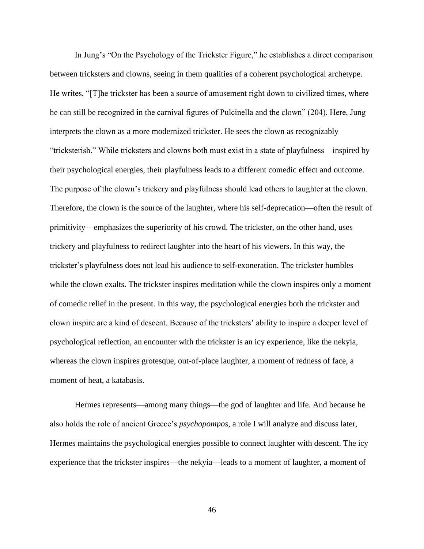In Jung's "On the Psychology of the Trickster Figure," he establishes a direct comparison between tricksters and clowns, seeing in them qualities of a coherent psychological archetype. He writes, "[T]he trickster has been a source of amusement right down to civilized times, where he can still be recognized in the carnival figures of Pulcinella and the clown" (204). Here, Jung interprets the clown as a more modernized trickster. He sees the clown as recognizably "tricksterish." While tricksters and clowns both must exist in a state of playfulness—inspired by their psychological energies, their playfulness leads to a different comedic effect and outcome. The purpose of the clown's trickery and playfulness should lead others to laughter at the clown. Therefore, the clown is the source of the laughter, where his self-deprecation—often the result of primitivity—emphasizes the superiority of his crowd. The trickster, on the other hand, uses trickery and playfulness to redirect laughter into the heart of his viewers. In this way, the trickster's playfulness does not lead his audience to self-exoneration. The trickster humbles while the clown exalts. The trickster inspires meditation while the clown inspires only a moment of comedic relief in the present. In this way, the psychological energies both the trickster and clown inspire are a kind of descent. Because of the tricksters' ability to inspire a deeper level of psychological reflection, an encounter with the trickster is an icy experience, like the nekyia, whereas the clown inspires grotesque, out-of-place laughter, a moment of redness of face, a moment of heat, a katabasis.

Hermes represents—among many things—the god of laughter and life. And because he also holds the role of ancient Greece's *psychopompos*, a role I will analyze and discuss later, Hermes maintains the psychological energies possible to connect laughter with descent. The icy experience that the trickster inspires—the nekyia—leads to a moment of laughter, a moment of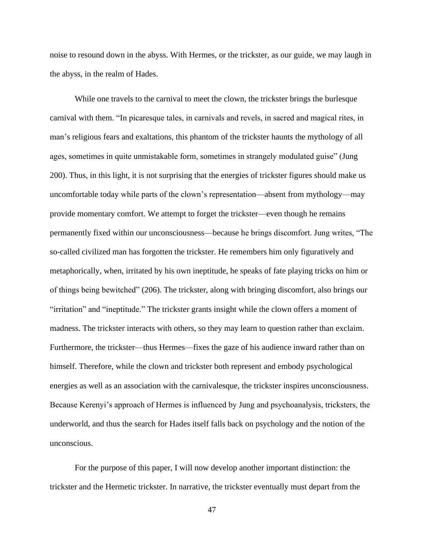noise to resound down in the abyss. With Hermes, or the trickster, as our guide, we may laugh in the abyss, in the realm of Hades.

While one travels to the carnival to meet the clown, the trickster brings the burlesque carnival with them. "In picaresque tales, in carnivals and revels, in sacred and magical rites, in man's religious fears and exaltations, this phantom of the trickster haunts the mythology of all ages, sometimes in quite unmistakable form, sometimes in strangely modulated guise" (Jung 200). Thus, in this light, it is not surprising that the energies of trickster figures should make us uncomfortable today while parts of the clown's representation—absent from mythology—may provide momentary comfort. We attempt to forget the trickster—even though he remains permanently fixed within our unconsciousness—because he brings discomfort. Jung writes, "The so-called civilized man has forgotten the trickster. He remembers him only figuratively and metaphorically, when, irritated by his own ineptitude, he speaks of fate playing tricks on him or of things being bewitched" (206). The trickster, along with bringing discomfort, also brings our "irritation" and "ineptitude." The trickster grants insight while the clown offers a moment of madness. The trickster interacts with others, so they may learn to question rather than exclaim. Furthermore, the trickster—thus Hermes—fixes the gaze of his audience inward rather than on himself. Therefore, while the clown and trickster both represent and embody psychological energies as well as an association with the carnivalesque, the trickster inspires unconsciousness. Because Kerenyi's approach of Hermes is influenced by Jung and psychoanalysis, tricksters, the underworld, and thus the search for Hades itself falls back on psychology and the notion of the unconscious.

For the purpose of this paper, I will now develop another important distinction: the trickster and the Hermetic trickster. In narrative, the trickster eventually must depart from the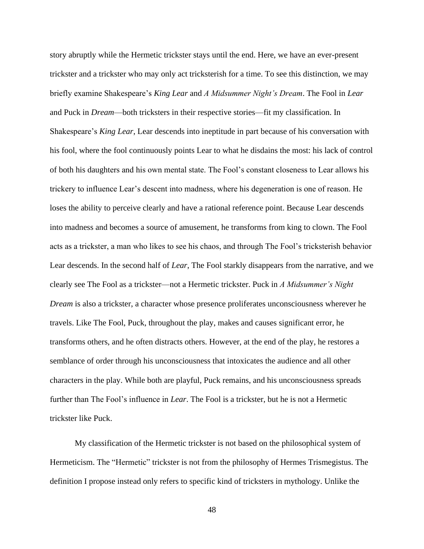story abruptly while the Hermetic trickster stays until the end. Here, we have an ever-present trickster and a trickster who may only act tricksterish for a time. To see this distinction, we may briefly examine Shakespeare's *King Lear* and *A Midsummer Night's Dream*. The Fool in *Lear* and Puck in *Dream*—both tricksters in their respective stories—fit my classification. In Shakespeare's *King Lear*, Lear descends into ineptitude in part because of his conversation with his fool, where the fool continuously points Lear to what he disdains the most: his lack of control of both his daughters and his own mental state. The Fool's constant closeness to Lear allows his trickery to influence Lear's descent into madness, where his degeneration is one of reason. He loses the ability to perceive clearly and have a rational reference point. Because Lear descends into madness and becomes a source of amusement, he transforms from king to clown. The Fool acts as a trickster, a man who likes to see his chaos, and through The Fool's tricksterish behavior Lear descends. In the second half of *Lear*, The Fool starkly disappears from the narrative, and we clearly see The Fool as a trickster—not a Hermetic trickster. Puck in *A Midsummer's Night Dream* is also a trickster, a character whose presence proliferates unconsciousness wherever he travels. Like The Fool, Puck, throughout the play, makes and causes significant error, he transforms others, and he often distracts others. However, at the end of the play, he restores a semblance of order through his unconsciousness that intoxicates the audience and all other characters in the play. While both are playful, Puck remains, and his unconsciousness spreads further than The Fool's influence in *Lear*. The Fool is a trickster, but he is not a Hermetic trickster like Puck.

My classification of the Hermetic trickster is not based on the philosophical system of Hermeticism. The "Hermetic" trickster is not from the philosophy of Hermes Trismegistus. The definition I propose instead only refers to specific kind of tricksters in mythology. Unlike the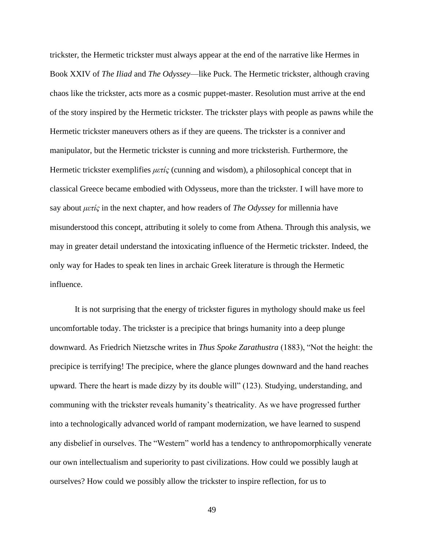trickster, the Hermetic trickster must always appear at the end of the narrative like Hermes in Book XXIV of *The Iliad* and *The Odyssey*—like Puck. The Hermetic trickster, although craving chaos like the trickster, acts more as a cosmic puppet-master. Resolution must arrive at the end of the story inspired by the Hermetic trickster. The trickster plays with people as pawns while the Hermetic trickster maneuvers others as if they are queens. The trickster is a conniver and manipulator, but the Hermetic trickster is cunning and more tricksterish. Furthermore, the Hermetic trickster exemplifies *μετίς* (cunning and wisdom), a philosophical concept that in classical Greece became embodied with Odysseus, more than the trickster. I will have more to say about *μετίς* in the next chapter, and how readers of *The Odyssey* for millennia have misunderstood this concept, attributing it solely to come from Athena. Through this analysis, we may in greater detail understand the intoxicating influence of the Hermetic trickster. Indeed, the only way for Hades to speak ten lines in archaic Greek literature is through the Hermetic influence.

It is not surprising that the energy of trickster figures in mythology should make us feel uncomfortable today. The trickster is a precipice that brings humanity into a deep plunge downward. As Friedrich Nietzsche writes in *Thus Spoke Zarathustra* (1883), "Not the height: the precipice is terrifying! The precipice, where the glance plunges downward and the hand reaches upward. There the heart is made dizzy by its double will" (123). Studying, understanding, and communing with the trickster reveals humanity's theatricality. As we have progressed further into a technologically advanced world of rampant modernization, we have learned to suspend any disbelief in ourselves. The "Western" world has a tendency to anthropomorphically venerate our own intellectualism and superiority to past civilizations. How could we possibly laugh at ourselves? How could we possibly allow the trickster to inspire reflection, for us to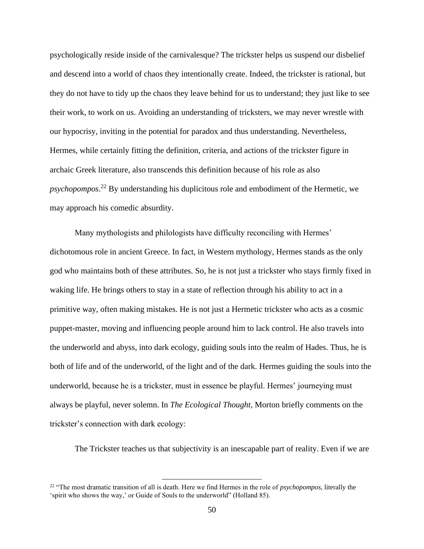psychologically reside inside of the carnivalesque? The trickster helps us suspend our disbelief and descend into a world of chaos they intentionally create. Indeed, the trickster is rational, but they do not have to tidy up the chaos they leave behind for us to understand; they just like to see their work, to work on us. Avoiding an understanding of tricksters, we may never wrestle with our hypocrisy, inviting in the potential for paradox and thus understanding. Nevertheless, Hermes, while certainly fitting the definition, criteria, and actions of the trickster figure in archaic Greek literature, also transcends this definition because of his role as also *psychopompos*. <sup>22</sup> By understanding his duplicitous role and embodiment of the Hermetic, we may approach his comedic absurdity.

Many mythologists and philologists have difficulty reconciling with Hermes' dichotomous role in ancient Greece. In fact, in Western mythology, Hermes stands as the only god who maintains both of these attributes. So, he is not just a trickster who stays firmly fixed in waking life. He brings others to stay in a state of reflection through his ability to act in a primitive way, often making mistakes. He is not just a Hermetic trickster who acts as a cosmic puppet-master, moving and influencing people around him to lack control. He also travels into the underworld and abyss, into dark ecology, guiding souls into the realm of Hades. Thus, he is both of life and of the underworld, of the light and of the dark. Hermes guiding the souls into the underworld, because he is a trickster, must in essence be playful. Hermes' journeying must always be playful, never solemn. In *The Ecological Thought*, Morton briefly comments on the trickster's connection with dark ecology:

The Trickster teaches us that subjectivity is an inescapable part of reality. Even if we are

<sup>22</sup> "The most dramatic transition of all is death. Here we find Hermes in the role of *psychopompos*, literally the 'spirit who shows the way,' or Guide of Souls to the underworld" (Holland 85).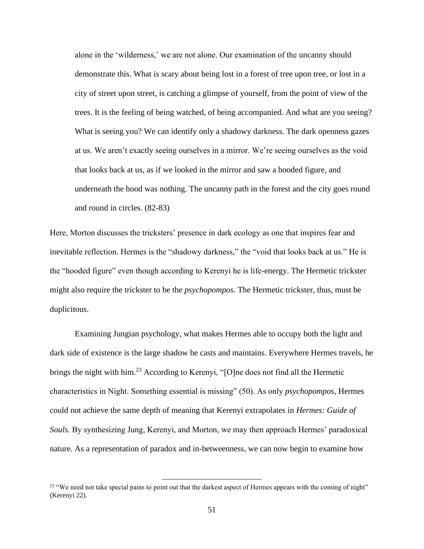alone in the 'wilderness,' we are not alone. Our examination of the uncanny should demonstrate this. What is scary about being lost in a forest of tree upon tree, or lost in a city of street upon street, is catching a glimpse of yourself, from the point of view of the trees. It is the feeling of being watched, of being accompanied. And what are you seeing? What is seeing you? We can identify only a shadowy darkness. The dark openness gazes at us. We aren't exactly seeing ourselves in a mirror. We're seeing ourselves as the void that looks back at us, as if we looked in the mirror and saw a hooded figure, and underneath the hood was nothing. The uncanny path in the forest and the city goes round and round in circles. (82-83)

Here, Morton discusses the tricksters' presence in dark ecology as one that inspires fear and inevitable reflection. Hermes is the "shadowy darkness," the "void that looks back at us." He is the "hooded figure" even though according to Kerenyi he is life-energy. The Hermetic trickster might also require the trickster to be the *psychopompos*. The Hermetic trickster, thus, must be duplicitous.

Examining Jungian psychology, what makes Hermes able to occupy both the light and dark side of existence is the large shadow he casts and maintains. Everywhere Hermes travels, he brings the night with him.<sup>23</sup> According to Kerenyi, "[O]ne does not find all the Hermetic characteristics in Night. Something essential is missing" (50). As only *psychopompos*, Hermes could not achieve the same depth of meaning that Kerenyi extrapolates in *Hermes: Guide of Souls.* By synthesizing Jung, Kerenyi, and Morton, we may then approach Hermes' paradoxical nature. As a representation of paradox and in-betweenness, we can now begin to examine how

<sup>&</sup>lt;sup>23</sup> "We need not take special pains to point out that the darkest aspect of Hermes appears with the coming of night" (Kerenyi 22).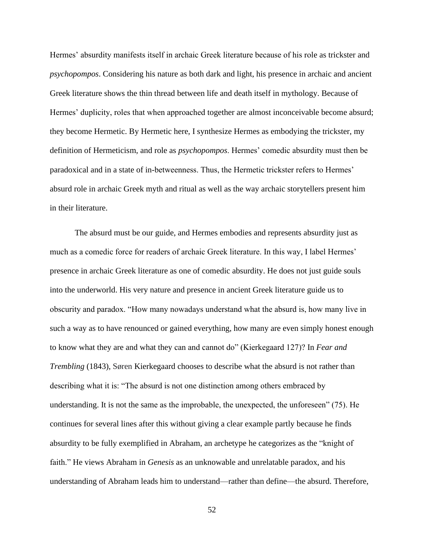Hermes' absurdity manifests itself in archaic Greek literature because of his role as trickster and *psychopompos*. Considering his nature as both dark and light, his presence in archaic and ancient Greek literature shows the thin thread between life and death itself in mythology. Because of Hermes' duplicity, roles that when approached together are almost inconceivable become absurd; they become Hermetic. By Hermetic here, I synthesize Hermes as embodying the trickster, my definition of Hermeticism, and role as *psychopompos*. Hermes' comedic absurdity must then be paradoxical and in a state of in-betweenness. Thus, the Hermetic trickster refers to Hermes' absurd role in archaic Greek myth and ritual as well as the way archaic storytellers present him in their literature.

The absurd must be our guide, and Hermes embodies and represents absurdity just as much as a comedic force for readers of archaic Greek literature. In this way, I label Hermes' presence in archaic Greek literature as one of comedic absurdity. He does not just guide souls into the underworld. His very nature and presence in ancient Greek literature guide us to obscurity and paradox. "How many nowadays understand what the absurd is, how many live in such a way as to have renounced or gained everything, how many are even simply honest enough to know what they are and what they can and cannot do" (Kierkegaard 127)? In *Fear and Trembling* (1843), Søren Kierkegaard chooses to describe what the absurd is not rather than describing what it is: "The absurd is not one distinction among others embraced by understanding. It is not the same as the improbable, the unexpected, the unforeseen" (75). He continues for several lines after this without giving a clear example partly because he finds absurdity to be fully exemplified in Abraham, an archetype he categorizes as the "knight of faith." He views Abraham in *Genesis* as an unknowable and unrelatable paradox, and his understanding of Abraham leads him to understand—rather than define—the absurd. Therefore,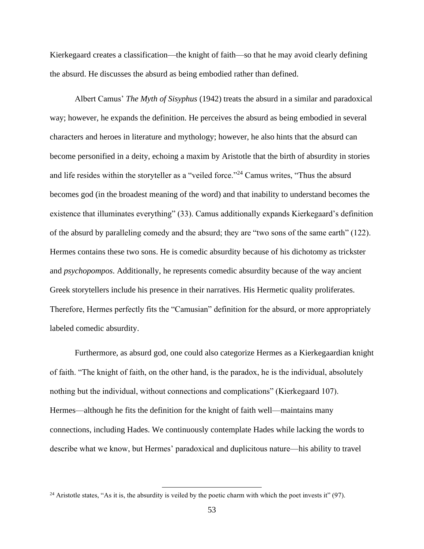Kierkegaard creates a classification—the knight of faith—so that he may avoid clearly defining the absurd. He discusses the absurd as being embodied rather than defined.

Albert Camus' *The Myth of Sisyphus* (1942) treats the absurd in a similar and paradoxical way; however, he expands the definition. He perceives the absurd as being embodied in several characters and heroes in literature and mythology; however, he also hints that the absurd can become personified in a deity, echoing a maxim by Aristotle that the birth of absurdity in stories and life resides within the storyteller as a "veiled force."<sup>24</sup> Camus writes, "Thus the absurd becomes god (in the broadest meaning of the word) and that inability to understand becomes the existence that illuminates everything" (33). Camus additionally expands Kierkegaard's definition of the absurd by paralleling comedy and the absurd; they are "two sons of the same earth" (122). Hermes contains these two sons. He is comedic absurdity because of his dichotomy as trickster and *psychopompos*. Additionally, he represents comedic absurdity because of the way ancient Greek storytellers include his presence in their narratives. His Hermetic quality proliferates. Therefore, Hermes perfectly fits the "Camusian" definition for the absurd, or more appropriately labeled comedic absurdity.

Furthermore, as absurd god, one could also categorize Hermes as a Kierkegaardian knight of faith. "The knight of faith, on the other hand, is the paradox, he is the individual, absolutely nothing but the individual, without connections and complications" (Kierkegaard 107). Hermes—although he fits the definition for the knight of faith well—maintains many connections, including Hades. We continuously contemplate Hades while lacking the words to describe what we know, but Hermes' paradoxical and duplicitous nature—his ability to travel

<sup>&</sup>lt;sup>24</sup> Aristotle states, "As it is, the absurdity is veiled by the poetic charm with which the poet invests it" (97).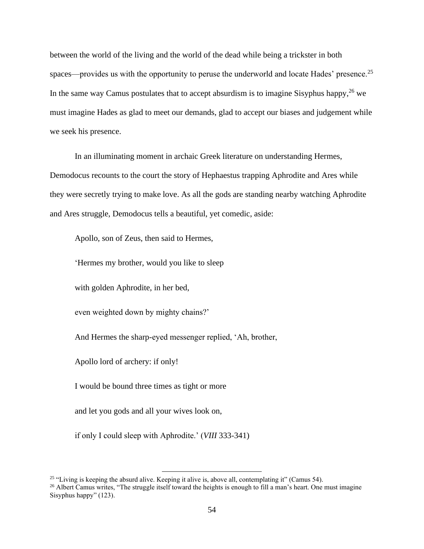between the world of the living and the world of the dead while being a trickster in both spaces—provides us with the opportunity to peruse the underworld and locate Hades' presence.<sup>25</sup> In the same way Camus postulates that to accept absurdism is to imagine Sisyphus happy,  $26$  we must imagine Hades as glad to meet our demands, glad to accept our biases and judgement while we seek his presence.

In an illuminating moment in archaic Greek literature on understanding Hermes, Demodocus recounts to the court the story of Hephaestus trapping Aphrodite and Ares while they were secretly trying to make love. As all the gods are standing nearby watching Aphrodite and Ares struggle, Demodocus tells a beautiful, yet comedic, aside:

Apollo, son of Zeus, then said to Hermes,

'Hermes my brother, would you like to sleep

with golden Aphrodite, in her bed,

even weighted down by mighty chains?'

And Hermes the sharp-eyed messenger replied, 'Ah, brother,

Apollo lord of archery: if only!

I would be bound three times as tight or more

and let you gods and all your wives look on,

if only I could sleep with Aphrodite.' (*VIII* 333-341)

<sup>&</sup>lt;sup>25</sup> "Living is keeping the absurd alive. Keeping it alive is, above all, contemplating it" (Camus 54).

<sup>&</sup>lt;sup>26</sup> Albert Camus writes, "The struggle itself toward the heights is enough to fill a man's heart. One must imagine Sisyphus happy" (123).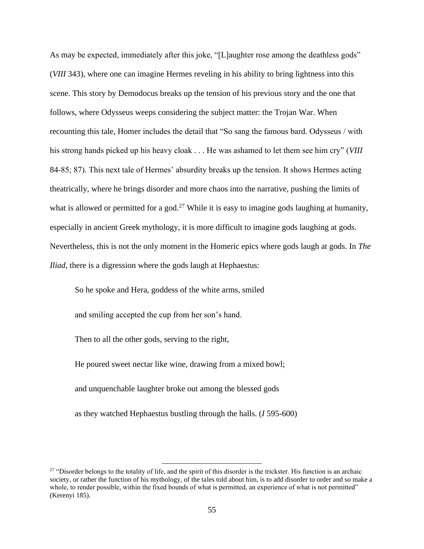As may be expected, immediately after this joke, "[L]aughter rose among the deathless gods" (*VIII* 343), where one can imagine Hermes reveling in his ability to bring lightness into this scene. This story by Demodocus breaks up the tension of his previous story and the one that follows, where Odysseus weeps considering the subject matter: the Trojan War. When recounting this tale, Homer includes the detail that "So sang the famous bard. Odysseus / with his strong hands picked up his heavy cloak . . . He was ashamed to let them see him cry" (*VIII* 84-85; 87). This next tale of Hermes' absurdity breaks up the tension. It shows Hermes acting theatrically, where he brings disorder and more chaos into the narrative, pushing the limits of what is allowed or permitted for a god.<sup>27</sup> While it is easy to imagine gods laughing at humanity, especially in ancient Greek mythology, it is more difficult to imagine gods laughing at gods. Nevertheless, this is not the only moment in the Homeric epics where gods laugh at gods. In *The Iliad*, there is a digression where the gods laugh at Hephaestus:

So he spoke and Hera, goddess of the white arms, smiled

and smiling accepted the cup from her son's hand.

Then to all the other gods, serving to the right,

He poured sweet nectar like wine, drawing from a mixed bowl;

and unquenchable laughter broke out among the blessed gods

as they watched Hephaestus bustling through the halls. (*I* 595-600)

<sup>&</sup>lt;sup>27</sup> "Disorder belongs to the totality of life, and the spirit of this disorder is the trickster. His function is an archaic society, or rather the function of his mythology, of the tales told about him, is to add disorder to order and so make a whole, to render possible, within the fixed bounds of what is permitted, an experience of what is not permitted" (Kerenyi 185).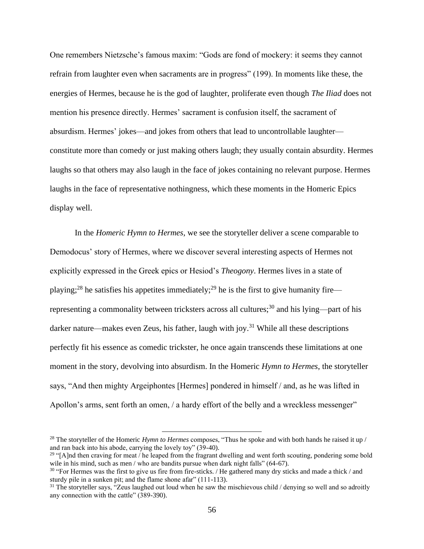One remembers Nietzsche's famous maxim: "Gods are fond of mockery: it seems they cannot refrain from laughter even when sacraments are in progress" (199). In moments like these, the energies of Hermes, because he is the god of laughter, proliferate even though *The Iliad* does not mention his presence directly. Hermes' sacrament is confusion itself, the sacrament of absurdism. Hermes' jokes—and jokes from others that lead to uncontrollable laughter constitute more than comedy or just making others laugh; they usually contain absurdity. Hermes laughs so that others may also laugh in the face of jokes containing no relevant purpose. Hermes laughs in the face of representative nothingness, which these moments in the Homeric Epics display well.

In the *Homeric Hymn to Hermes*, we see the storyteller deliver a scene comparable to Demodocus' story of Hermes, where we discover several interesting aspects of Hermes not explicitly expressed in the Greek epics or Hesiod's *Theogony*. Hermes lives in a state of playing;<sup>28</sup> he satisfies his appetites immediately;<sup>29</sup> he is the first to give humanity fire representing a commonality between tricksters across all cultures;<sup>30</sup> and his lying—part of his darker nature—makes even Zeus, his father, laugh with joy.<sup>31</sup> While all these descriptions perfectly fit his essence as comedic trickster, he once again transcends these limitations at one moment in the story, devolving into absurdism. In the Homeric *Hymn to Hermes*, the storyteller says, "And then mighty Argeiphontes [Hermes] pondered in himself / and, as he was lifted in Apollon's arms, sent forth an omen, / a hardy effort of the belly and a wreckless messenger"

<sup>&</sup>lt;sup>28</sup> The storyteller of the Homeric *Hymn to Hermes* composes, "Thus he spoke and with both hands he raised it up / and ran back into his abode, carrying the lovely toy" (39-40).

<sup>&</sup>lt;sup>29</sup> "[A]nd then craving for meat / he leaped from the fragrant dwelling and went forth scouting, pondering some bold wile in his mind, such as men / who are bandits pursue when dark night falls" (64-67).

 $30$  "For Hermes was the first to give us fire from fire-sticks. / He gathered many dry sticks and made a thick / and sturdy pile in a sunken pit; and the flame shone afar" (111-113).

<sup>&</sup>lt;sup>31</sup> The storyteller says, "Zeus laughed out loud when he saw the mischievous child / denying so well and so adroitly any connection with the cattle" (389-390).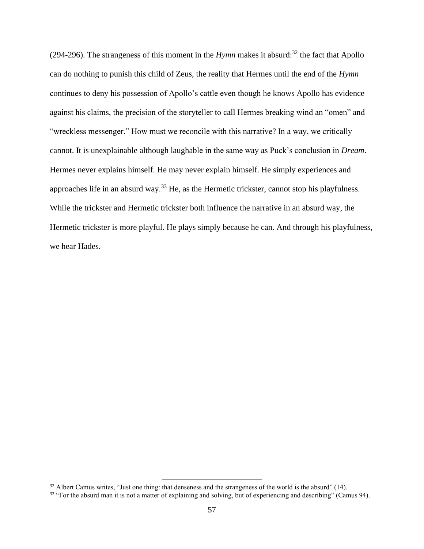(294-296). The strangeness of this moment in the *Hymn* makes it absurd:<sup>32</sup> the fact that Apollo can do nothing to punish this child of Zeus, the reality that Hermes until the end of the *Hymn* continues to deny his possession of Apollo's cattle even though he knows Apollo has evidence against his claims, the precision of the storyteller to call Hermes breaking wind an "omen" and "wreckless messenger." How must we reconcile with this narrative? In a way, we critically cannot. It is unexplainable although laughable in the same way as Puck's conclusion in *Dream*. Hermes never explains himself. He may never explain himself. He simply experiences and approaches life in an absurd way.<sup>33</sup> He, as the Hermetic trickster, cannot stop his playfulness. While the trickster and Hermetic trickster both influence the narrative in an absurd way, the Hermetic trickster is more playful. He plays simply because he can. And through his playfulness, we hear Hades.

<sup>&</sup>lt;sup>32</sup> Albert Camus writes, "Just one thing: that denseness and the strangeness of the world is the absurd" (14).

<sup>&</sup>lt;sup>33</sup> "For the absurd man it is not a matter of explaining and solving, but of experiencing and describing" (Camus 94).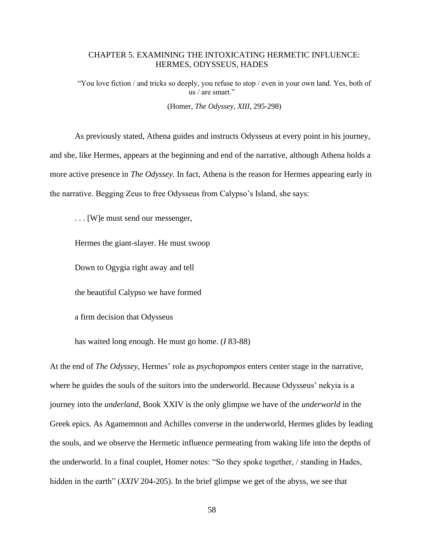## CHAPTER 5. EXAMINING THE INTOXICATING HERMETIC INFLUENCE: HERMES, ODYSSEUS, HADES

"You love fiction / and tricks so deeply, you refuse to stop / even in your own land. Yes, both of us / are smart."

(Homer, *The Odyssey*, *XIII*, 295-298)

As previously stated, Athena guides and instructs Odysseus at every point in his journey, and she, like Hermes, appears at the beginning and end of the narrative, although Athena holds a more active presence in *The Odyssey*. In fact, Athena is the reason for Hermes appearing early in the narrative. Begging Zeus to free Odysseus from Calypso's Island, she says:

. . . [W]e must send our messenger,

Hermes the giant-slayer. He must swoop

Down to Ogygia right away and tell

the beautiful Calypso we have formed

a firm decision that Odysseus

has waited long enough. He must go home. (*I* 83-88)

At the end of *The Odyssey*, Hermes' role as *psychopompos* enters center stage in the narrative, where he guides the souls of the suitors into the underworld. Because Odysseus' nekyia is a journey into the *underland*, Book XXIV is the only glimpse we have of the *underworld* in the Greek epics. As Agamemnon and Achilles converse in the underworld, Hermes glides by leading the souls, and we observe the Hermetic influence permeating from waking life into the depths of the underworld. In a final couplet, Homer notes: "So they spoke together, / standing in Hades, hidden in the earth" (*XXIV* 204-205). In the brief glimpse we get of the abyss, we see that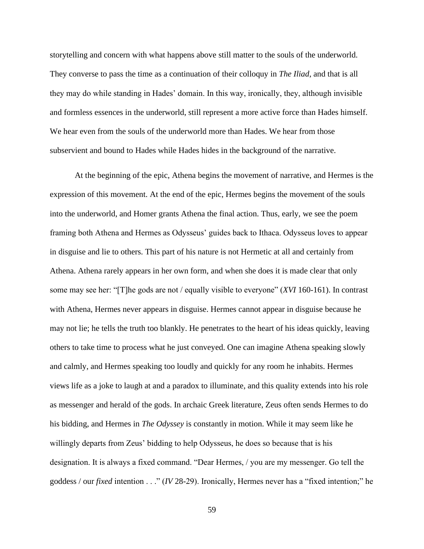storytelling and concern with what happens above still matter to the souls of the underworld. They converse to pass the time as a continuation of their colloquy in *The Iliad*, and that is all they may do while standing in Hades' domain. In this way, ironically, they, although invisible and formless essences in the underworld, still represent a more active force than Hades himself. We hear even from the souls of the underworld more than Hades. We hear from those subservient and bound to Hades while Hades hides in the background of the narrative.

At the beginning of the epic, Athena begins the movement of narrative, and Hermes is the expression of this movement. At the end of the epic, Hermes begins the movement of the souls into the underworld, and Homer grants Athena the final action. Thus, early, we see the poem framing both Athena and Hermes as Odysseus' guides back to Ithaca. Odysseus loves to appear in disguise and lie to others. This part of his nature is not Hermetic at all and certainly from Athena. Athena rarely appears in her own form, and when she does it is made clear that only some may see her: "[T]he gods are not / equally visible to everyone" (*XVI* 160-161). In contrast with Athena, Hermes never appears in disguise. Hermes cannot appear in disguise because he may not lie; he tells the truth too blankly. He penetrates to the heart of his ideas quickly, leaving others to take time to process what he just conveyed. One can imagine Athena speaking slowly and calmly, and Hermes speaking too loudly and quickly for any room he inhabits. Hermes views life as a joke to laugh at and a paradox to illuminate, and this quality extends into his role as messenger and herald of the gods. In archaic Greek literature, Zeus often sends Hermes to do his bidding, and Hermes in *The Odyssey* is constantly in motion. While it may seem like he willingly departs from Zeus' bidding to help Odysseus, he does so because that is his designation. It is always a fixed command. "Dear Hermes, / you are my messenger. Go tell the goddess / our *fixed* intention . . ." (*IV* 28-29). Ironically, Hermes never has a "fixed intention;" he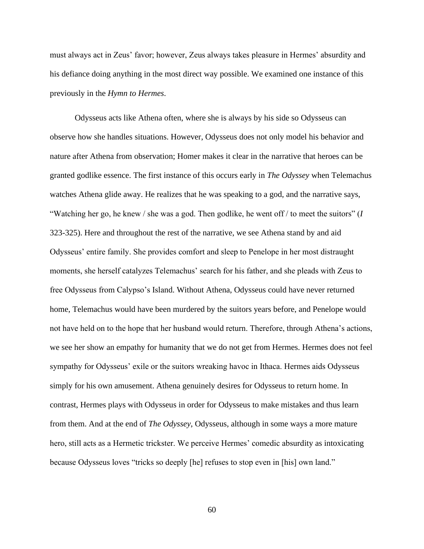must always act in Zeus' favor; however, Zeus always takes pleasure in Hermes' absurdity and his defiance doing anything in the most direct way possible. We examined one instance of this previously in the *Hymn to Hermes*.

Odysseus acts like Athena often, where she is always by his side so Odysseus can observe how she handles situations. However, Odysseus does not only model his behavior and nature after Athena from observation; Homer makes it clear in the narrative that heroes can be granted godlike essence. The first instance of this occurs early in *The Odyssey* when Telemachus watches Athena glide away. He realizes that he was speaking to a god, and the narrative says, "Watching her go, he knew / she was a god. Then godlike, he went off / to meet the suitors" (*I* 323-325). Here and throughout the rest of the narrative, we see Athena stand by and aid Odysseus' entire family. She provides comfort and sleep to Penelope in her most distraught moments, she herself catalyzes Telemachus' search for his father, and she pleads with Zeus to free Odysseus from Calypso's Island. Without Athena, Odysseus could have never returned home, Telemachus would have been murdered by the suitors years before, and Penelope would not have held on to the hope that her husband would return. Therefore, through Athena's actions, we see her show an empathy for humanity that we do not get from Hermes. Hermes does not feel sympathy for Odysseus' exile or the suitors wreaking havoc in Ithaca. Hermes aids Odysseus simply for his own amusement. Athena genuinely desires for Odysseus to return home. In contrast, Hermes plays with Odysseus in order for Odysseus to make mistakes and thus learn from them. And at the end of *The Odyssey*, Odysseus, although in some ways a more mature hero, still acts as a Hermetic trickster. We perceive Hermes' comedic absurdity as intoxicating because Odysseus loves "tricks so deeply [he] refuses to stop even in [his] own land."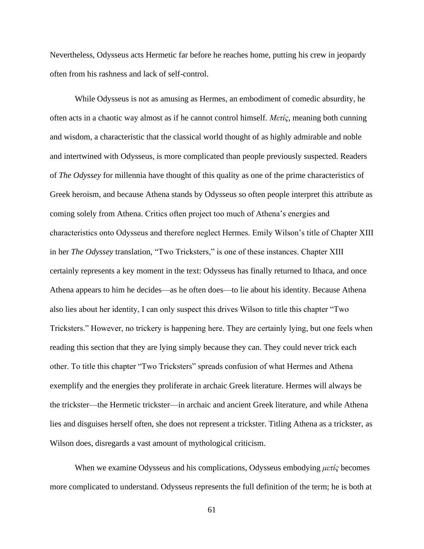Nevertheless, Odysseus acts Hermetic far before he reaches home, putting his crew in jeopardy often from his rashness and lack of self-control.

While Odysseus is not as amusing as Hermes, an embodiment of comedic absurdity, he often acts in a chaotic way almost as if he cannot control himself. *Μετίς,* meaning both cunning and wisdom, a characteristic that the classical world thought of as highly admirable and noble and intertwined with Odysseus, is more complicated than people previously suspected. Readers of *The Odyssey* for millennia have thought of this quality as one of the prime characteristics of Greek heroism, and because Athena stands by Odysseus so often people interpret this attribute as coming solely from Athena. Critics often project too much of Athena's energies and characteristics onto Odysseus and therefore neglect Hermes. Emily Wilson's title of Chapter XIII in her *The Odyssey* translation, "Two Tricksters," is one of these instances. Chapter XIII certainly represents a key moment in the text: Odysseus has finally returned to Ithaca, and once Athena appears to him he decides—as he often does—to lie about his identity. Because Athena also lies about her identity, I can only suspect this drives Wilson to title this chapter "Two Tricksters." However, no trickery is happening here. They are certainly lying, but one feels when reading this section that they are lying simply because they can. They could never trick each other. To title this chapter "Two Tricksters" spreads confusion of what Hermes and Athena exemplify and the energies they proliferate in archaic Greek literature. Hermes will always be the trickster—the Hermetic trickster—in archaic and ancient Greek literature, and while Athena lies and disguises herself often, she does not represent a trickster. Titling Athena as a trickster, as Wilson does, disregards a vast amount of mythological criticism.

When we examine Odysseus and his complications, Odysseus embodying *μετίς* becomes more complicated to understand. Odysseus represents the full definition of the term; he is both at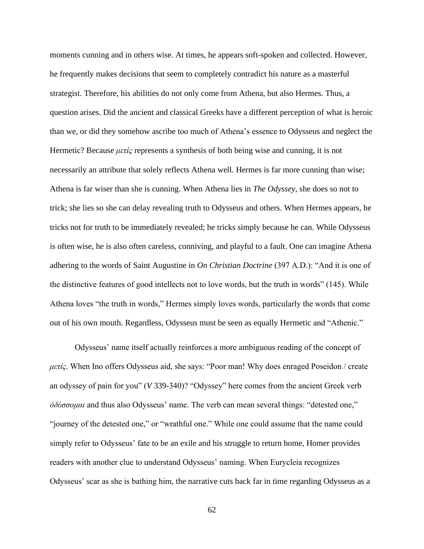moments cunning and in others wise. At times, he appears soft-spoken and collected. However, he frequently makes decisions that seem to completely contradict his nature as a masterful strategist. Therefore, his abilities do not only come from Athena, but also Hermes. Thus, a question arises. Did the ancient and classical Greeks have a different perception of what is heroic than we, or did they somehow ascribe too much of Athena's essence to Odysseus and neglect the Hermetic? Because *μετίς* represents a synthesis of both being wise and cunning, it is not necessarily an attribute that solely reflects Athena well. Hermes is far more cunning than wise; Athena is far wiser than she is cunning. When Athena lies in *The Odyssey*, she does so not to trick; she lies so she can delay revealing truth to Odysseus and others. When Hermes appears, he tricks not for truth to be immediately revealed; he tricks simply because he can. While Odysseus is often wise, he is also often careless, conniving, and playful to a fault. One can imagine Athena adhering to the words of Saint Augustine in *On Christian Doctrine* (397 A.D.): "And it is one of the distinctive features of good intellects not to love words, but the truth in words" (145). While Athena loves "the truth in words," Hermes simply loves words, particularly the words that come out of his own mouth. Regardless, Odysseus must be seen as equally Hermetic and "Athenic."

Odysseus' name itself actually reinforces a more ambiguous reading of the concept of *μετίς.* When Ino offers Odysseus aid, she says: "Poor man! Why does enraged Poseidon / create an odyssey of pain for you" (*V* 339-340)? "Odyssey" here comes from the ancient Greek verb *ὀδύσσομαι* and thus also Odysseus' name. The verb can mean several things: "detested one," "journey of the detested one," or "wrathful one." While one could assume that the name could simply refer to Odysseus' fate to be an exile and his struggle to return home, Homer provides readers with another clue to understand Odysseus' naming. When Eurycleia recognizes Odysseus' scar as she is bathing him, the narrative cuts back far in time regarding Odysseus as a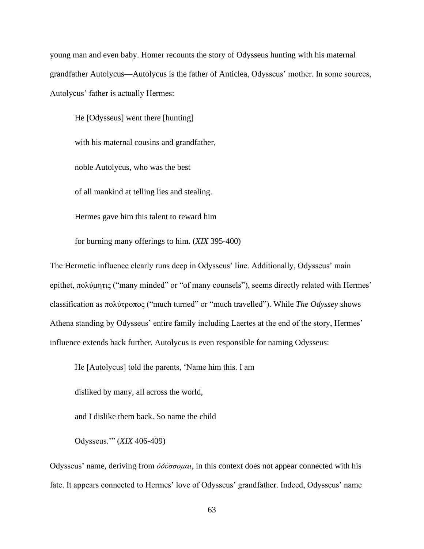young man and even baby. Homer recounts the story of Odysseus hunting with his maternal grandfather Autolycus—Autolycus is the father of Anticlea, Odysseus' mother. In some sources, Autolycus' father is actually Hermes:

He [Odysseus] went there [hunting] with his maternal cousins and grandfather, noble Autolycus, who was the best of all mankind at telling lies and stealing. Hermes gave him this talent to reward him

for burning many offerings to him. (*XIX* 395-400)

The Hermetic influence clearly runs deep in Odysseus' line. Additionally, Odysseus' main epithet, πολύμητις ("many minded" or "of many counsels"), seems directly related with Hermes' classification as πολύτροπος ("much turned" or "much travelled"). While *The Odyssey* shows Athena standing by Odysseus' entire family including Laertes at the end of the story, Hermes' influence extends back further. Autolycus is even responsible for naming Odysseus:

He [Autolycus] told the parents, 'Name him this. I am

disliked by many, all across the world,

and I dislike them back. So name the child

Odysseus.'" (*XIX* 406-409)

Odysseus' name, deriving from *ὀδύσσομαι,* in this context does not appear connected with his fate. It appears connected to Hermes' love of Odysseus' grandfather. Indeed, Odysseus' name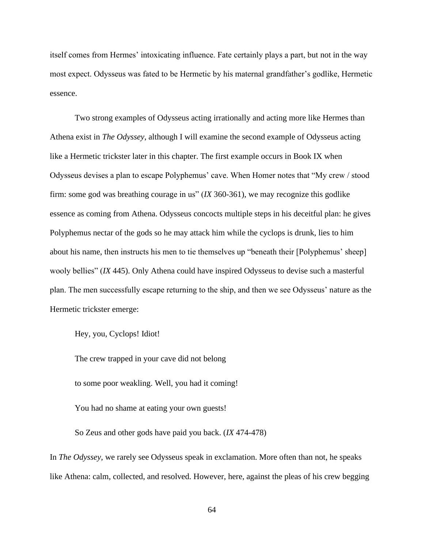itself comes from Hermes' intoxicating influence. Fate certainly plays a part, but not in the way most expect. Odysseus was fated to be Hermetic by his maternal grandfather's godlike, Hermetic essence.

Two strong examples of Odysseus acting irrationally and acting more like Hermes than Athena exist in *The Odyssey*, although I will examine the second example of Odysseus acting like a Hermetic trickster later in this chapter. The first example occurs in Book IX when Odysseus devises a plan to escape Polyphemus' cave. When Homer notes that "My crew / stood firm: some god was breathing courage in us" (*IX* 360-361), we may recognize this godlike essence as coming from Athena. Odysseus concocts multiple steps in his deceitful plan: he gives Polyphemus nectar of the gods so he may attack him while the cyclops is drunk, lies to him about his name, then instructs his men to tie themselves up "beneath their [Polyphemus' sheep] wooly bellies" (*IX* 445). Only Athena could have inspired Odysseus to devise such a masterful plan. The men successfully escape returning to the ship, and then we see Odysseus' nature as the Hermetic trickster emerge:

Hey, you, Cyclops! Idiot!

The crew trapped in your cave did not belong

to some poor weakling. Well, you had it coming!

You had no shame at eating your own guests!

So Zeus and other gods have paid you back. (*IX* 474-478)

In *The Odyssey*, we rarely see Odysseus speak in exclamation. More often than not, he speaks like Athena: calm, collected, and resolved. However, here, against the pleas of his crew begging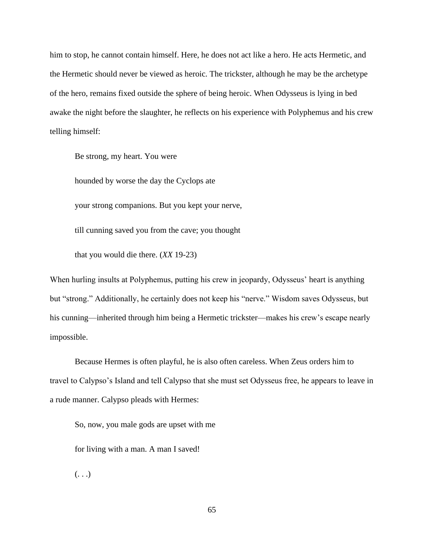him to stop, he cannot contain himself. Here, he does not act like a hero. He acts Hermetic, and the Hermetic should never be viewed as heroic. The trickster, although he may be the archetype of the hero, remains fixed outside the sphere of being heroic. When Odysseus is lying in bed awake the night before the slaughter, he reflects on his experience with Polyphemus and his crew telling himself:

Be strong, my heart. You were

hounded by worse the day the Cyclops ate

your strong companions. But you kept your nerve,

till cunning saved you from the cave; you thought

that you would die there. (*XX* 19-23)

When hurling insults at Polyphemus, putting his crew in jeopardy, Odysseus' heart is anything but "strong." Additionally, he certainly does not keep his "nerve." Wisdom saves Odysseus, but his cunning—inherited through him being a Hermetic trickster—makes his crew's escape nearly impossible.

Because Hermes is often playful, he is also often careless. When Zeus orders him to travel to Calypso's Island and tell Calypso that she must set Odysseus free, he appears to leave in a rude manner. Calypso pleads with Hermes:

So, now, you male gods are upset with me

for living with a man. A man I saved!

 $\left( \ldots \right)$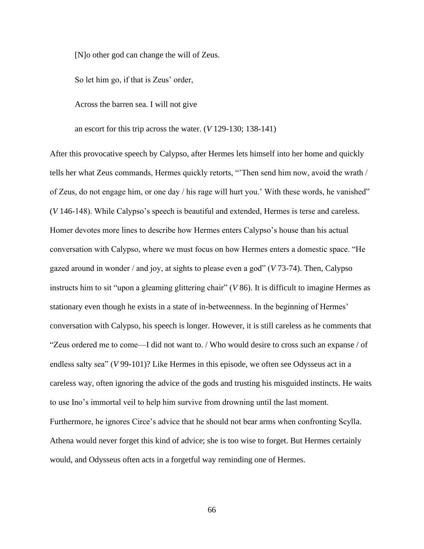[N]o other god can change the will of Zeus.

So let him go, if that is Zeus' order,

Across the barren sea. I will not give

an escort for this trip across the water. (*V* 129-130; 138-141)

After this provocative speech by Calypso, after Hermes lets himself into her home and quickly tells her what Zeus commands, Hermes quickly retorts, "'Then send him now, avoid the wrath / of Zeus, do not engage him, or one day / his rage will hurt you.' With these words, he vanished" (*V* 146-148). While Calypso's speech is beautiful and extended, Hermes is terse and careless. Homer devotes more lines to describe how Hermes enters Calypso's house than his actual conversation with Calypso, where we must focus on how Hermes enters a domestic space. "He gazed around in wonder / and joy, at sights to please even a god" (*V* 73-74). Then, Calypso instructs him to sit "upon a gleaming glittering chair" (*V* 86). It is difficult to imagine Hermes as stationary even though he exists in a state of in-betweenness. In the beginning of Hermes' conversation with Calypso, his speech is longer. However, it is still careless as he comments that "Zeus ordered me to come—I did not want to. / Who would desire to cross such an expanse / of endless salty sea" (*V* 99-101)? Like Hermes in this episode, we often see Odysseus act in a careless way, often ignoring the advice of the gods and trusting his misguided instincts. He waits to use Ino's immortal veil to help him survive from drowning until the last moment. Furthermore, he ignores Circe's advice that he should not bear arms when confronting Scylla. Athena would never forget this kind of advice; she is too wise to forget. But Hermes certainly would, and Odysseus often acts in a forgetful way reminding one of Hermes.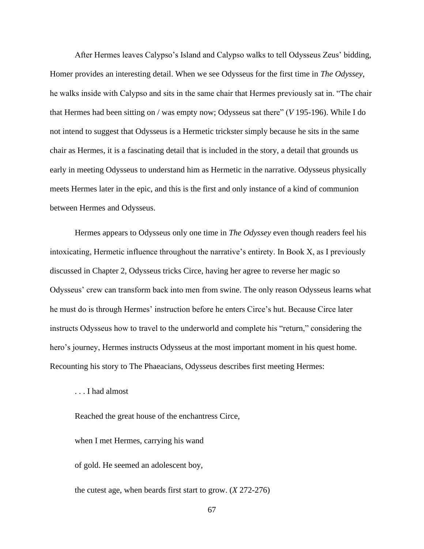After Hermes leaves Calypso's Island and Calypso walks to tell Odysseus Zeus' bidding, Homer provides an interesting detail. When we see Odysseus for the first time in *The Odyssey*, he walks inside with Calypso and sits in the same chair that Hermes previously sat in. "The chair that Hermes had been sitting on / was empty now; Odysseus sat there" (*V* 195-196). While I do not intend to suggest that Odysseus is a Hermetic trickster simply because he sits in the same chair as Hermes, it is a fascinating detail that is included in the story, a detail that grounds us early in meeting Odysseus to understand him as Hermetic in the narrative. Odysseus physically meets Hermes later in the epic, and this is the first and only instance of a kind of communion between Hermes and Odysseus.

Hermes appears to Odysseus only one time in *The Odyssey* even though readers feel his intoxicating, Hermetic influence throughout the narrative's entirety. In Book X, as I previously discussed in Chapter 2, Odysseus tricks Circe, having her agree to reverse her magic so Odysseus' crew can transform back into men from swine. The only reason Odysseus learns what he must do is through Hermes' instruction before he enters Circe's hut. Because Circe later instructs Odysseus how to travel to the underworld and complete his "return," considering the hero's journey, Hermes instructs Odysseus at the most important moment in his quest home. Recounting his story to The Phaeacians, Odysseus describes first meeting Hermes:

. . . I had almost

Reached the great house of the enchantress Circe,

when I met Hermes, carrying his wand

of gold. He seemed an adolescent boy,

the cutest age, when beards first start to grow. (*X* 272-276)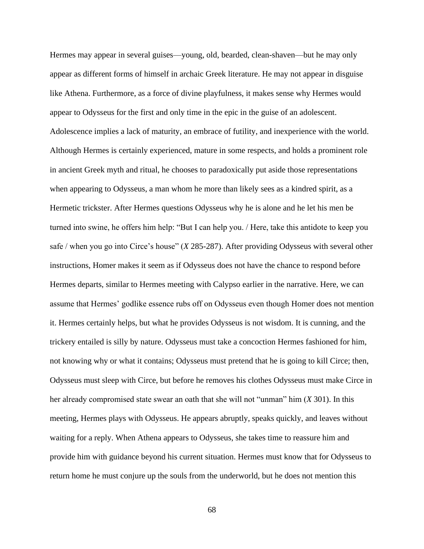Hermes may appear in several guises—young, old, bearded, clean-shaven—but he may only appear as different forms of himself in archaic Greek literature. He may not appear in disguise like Athena. Furthermore, as a force of divine playfulness, it makes sense why Hermes would appear to Odysseus for the first and only time in the epic in the guise of an adolescent. Adolescence implies a lack of maturity, an embrace of futility, and inexperience with the world. Although Hermes is certainly experienced, mature in some respects, and holds a prominent role in ancient Greek myth and ritual, he chooses to paradoxically put aside those representations when appearing to Odysseus, a man whom he more than likely sees as a kindred spirit, as a Hermetic trickster. After Hermes questions Odysseus why he is alone and he let his men be turned into swine, he offers him help: "But I can help you. / Here, take this antidote to keep you safe / when you go into Circe's house" (*X* 285-287). After providing Odysseus with several other instructions, Homer makes it seem as if Odysseus does not have the chance to respond before Hermes departs, similar to Hermes meeting with Calypso earlier in the narrative. Here, we can assume that Hermes' godlike essence rubs off on Odysseus even though Homer does not mention it. Hermes certainly helps, but what he provides Odysseus is not wisdom. It is cunning, and the trickery entailed is silly by nature. Odysseus must take a concoction Hermes fashioned for him, not knowing why or what it contains; Odysseus must pretend that he is going to kill Circe; then, Odysseus must sleep with Circe, but before he removes his clothes Odysseus must make Circe in her already compromised state swear an oath that she will not "unman" him (*X* 301). In this meeting, Hermes plays with Odysseus. He appears abruptly, speaks quickly, and leaves without waiting for a reply. When Athena appears to Odysseus, she takes time to reassure him and provide him with guidance beyond his current situation. Hermes must know that for Odysseus to return home he must conjure up the souls from the underworld, but he does not mention this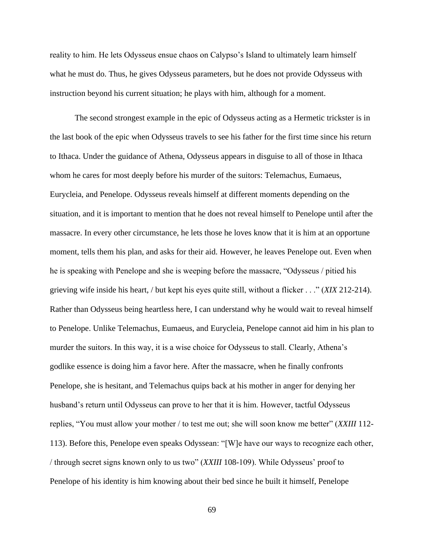reality to him. He lets Odysseus ensue chaos on Calypso's Island to ultimately learn himself what he must do. Thus, he gives Odysseus parameters, but he does not provide Odysseus with instruction beyond his current situation; he plays with him, although for a moment.

The second strongest example in the epic of Odysseus acting as a Hermetic trickster is in the last book of the epic when Odysseus travels to see his father for the first time since his return to Ithaca. Under the guidance of Athena, Odysseus appears in disguise to all of those in Ithaca whom he cares for most deeply before his murder of the suitors: Telemachus, Eumaeus, Eurycleia, and Penelope. Odysseus reveals himself at different moments depending on the situation, and it is important to mention that he does not reveal himself to Penelope until after the massacre. In every other circumstance, he lets those he loves know that it is him at an opportune moment, tells them his plan, and asks for their aid. However, he leaves Penelope out. Even when he is speaking with Penelope and she is weeping before the massacre, "Odysseus / pitied his grieving wife inside his heart, / but kept his eyes quite still, without a flicker . . ." (*XIX* 212-214). Rather than Odysseus being heartless here, I can understand why he would wait to reveal himself to Penelope. Unlike Telemachus, Eumaeus, and Eurycleia, Penelope cannot aid him in his plan to murder the suitors. In this way, it is a wise choice for Odysseus to stall. Clearly, Athena's godlike essence is doing him a favor here. After the massacre, when he finally confronts Penelope, she is hesitant, and Telemachus quips back at his mother in anger for denying her husband's return until Odysseus can prove to her that it is him. However, tactful Odysseus replies, "You must allow your mother / to test me out; she will soon know me better" (*XXIII* 112- 113). Before this, Penelope even speaks Odyssean: "[W]e have our ways to recognize each other, / through secret signs known only to us two" (*XXIII* 108-109). While Odysseus' proof to Penelope of his identity is him knowing about their bed since he built it himself, Penelope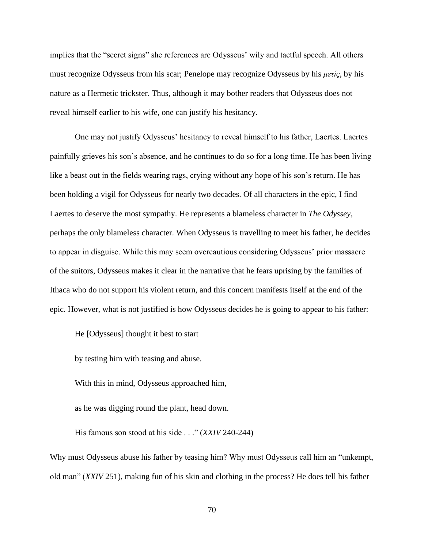implies that the "secret signs" she references are Odysseus' wily and tactful speech. All others must recognize Odysseus from his scar; Penelope may recognize Odysseus by his *μετίς,* by his nature as a Hermetic trickster. Thus, although it may bother readers that Odysseus does not reveal himself earlier to his wife, one can justify his hesitancy.

One may not justify Odysseus' hesitancy to reveal himself to his father, Laertes. Laertes painfully grieves his son's absence, and he continues to do so for a long time. He has been living like a beast out in the fields wearing rags, crying without any hope of his son's return. He has been holding a vigil for Odysseus for nearly two decades. Of all characters in the epic, I find Laertes to deserve the most sympathy. He represents a blameless character in *The Odyssey*, perhaps the only blameless character. When Odysseus is travelling to meet his father, he decides to appear in disguise. While this may seem overcautious considering Odysseus' prior massacre of the suitors, Odysseus makes it clear in the narrative that he fears uprising by the families of Ithaca who do not support his violent return, and this concern manifests itself at the end of the epic. However, what is not justified is how Odysseus decides he is going to appear to his father:

He [Odysseus] thought it best to start

by testing him with teasing and abuse.

With this in mind, Odysseus approached him,

as he was digging round the plant, head down.

His famous son stood at his side . . ." (*XXIV* 240-244)

Why must Odysseus abuse his father by teasing him? Why must Odysseus call him an "unkempt, old man" (*XXIV* 251), making fun of his skin and clothing in the process? He does tell his father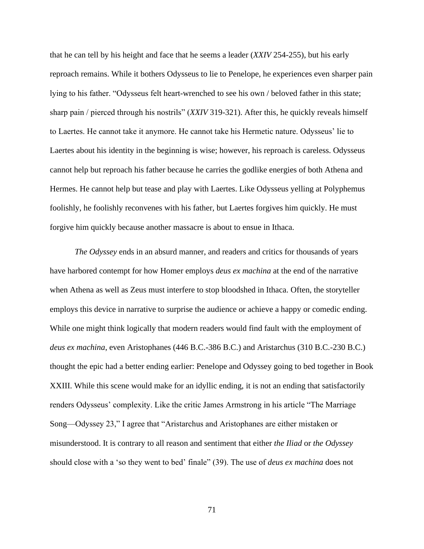that he can tell by his height and face that he seems a leader (*XXIV* 254-255), but his early reproach remains. While it bothers Odysseus to lie to Penelope, he experiences even sharper pain lying to his father. "Odysseus felt heart-wrenched to see his own / beloved father in this state; sharp pain / pierced through his nostrils" (*XXIV* 319-321). After this, he quickly reveals himself to Laertes. He cannot take it anymore. He cannot take his Hermetic nature. Odysseus' lie to Laertes about his identity in the beginning is wise; however, his reproach is careless. Odysseus cannot help but reproach his father because he carries the godlike energies of both Athena and Hermes. He cannot help but tease and play with Laertes. Like Odysseus yelling at Polyphemus foolishly, he foolishly reconvenes with his father, but Laertes forgives him quickly. He must forgive him quickly because another massacre is about to ensue in Ithaca.

*The Odyssey* ends in an absurd manner, and readers and critics for thousands of years have harbored contempt for how Homer employs *deus ex machina* at the end of the narrative when Athena as well as Zeus must interfere to stop bloodshed in Ithaca. Often, the storyteller employs this device in narrative to surprise the audience or achieve a happy or comedic ending. While one might think logically that modern readers would find fault with the employment of *deus ex machina*, even Aristophanes (446 B.C.-386 B.C.) and Aristarchus (310 B.C.-230 B.C.) thought the epic had a better ending earlier: Penelope and Odyssey going to bed together in Book XXIII. While this scene would make for an idyllic ending, it is not an ending that satisfactorily renders Odysseus' complexity. Like the critic James Armstrong in his article "The Marriage Song—Odyssey 23," I agree that "Aristarchus and Aristophanes are either mistaken or misunderstood. It is contrary to all reason and sentiment that either *the Iliad* or *the Odyssey* should close with a 'so they went to bed' finale" (39). The use of *deus ex machina* does not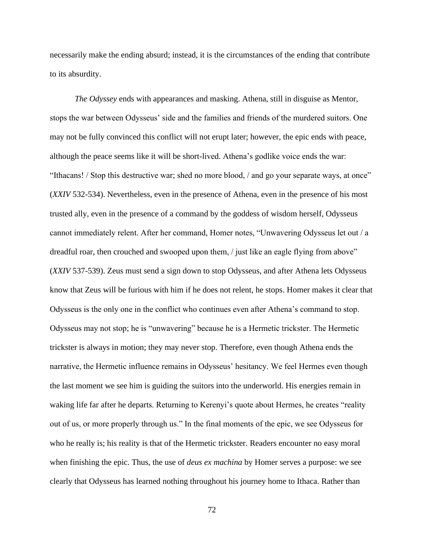necessarily make the ending absurd; instead, it is the circumstances of the ending that contribute to its absurdity.

*The Odyssey* ends with appearances and masking. Athena, still in disguise as Mentor, stops the war between Odysseus' side and the families and friends of the murdered suitors. One may not be fully convinced this conflict will not erupt later; however, the epic ends with peace, although the peace seems like it will be short-lived. Athena's godlike voice ends the war: "Ithacans! / Stop this destructive war; shed no more blood, / and go your separate ways, at once" (*XXIV* 532-534). Nevertheless, even in the presence of Athena, even in the presence of his most trusted ally, even in the presence of a command by the goddess of wisdom herself, Odysseus cannot immediately relent. After her command, Homer notes, "Unwavering Odysseus let out / a dreadful roar, then crouched and swooped upon them, / just like an eagle flying from above" (*XXIV* 537-539). Zeus must send a sign down to stop Odysseus, and after Athena lets Odysseus know that Zeus will be furious with him if he does not relent, he stops. Homer makes it clear that Odysseus is the only one in the conflict who continues even after Athena's command to stop. Odysseus may not stop; he is "unwavering" because he is a Hermetic trickster. The Hermetic trickster is always in motion; they may never stop. Therefore, even though Athena ends the narrative, the Hermetic influence remains in Odysseus' hesitancy. We feel Hermes even though the last moment we see him is guiding the suitors into the underworld. His energies remain in waking life far after he departs. Returning to Kerenyi's quote about Hermes, he creates "reality out of us, or more properly through us." In the final moments of the epic, we see Odysseus for who he really is; his reality is that of the Hermetic trickster. Readers encounter no easy moral when finishing the epic. Thus, the use of *deus ex machina* by Homer serves a purpose: we see clearly that Odysseus has learned nothing throughout his journey home to Ithaca. Rather than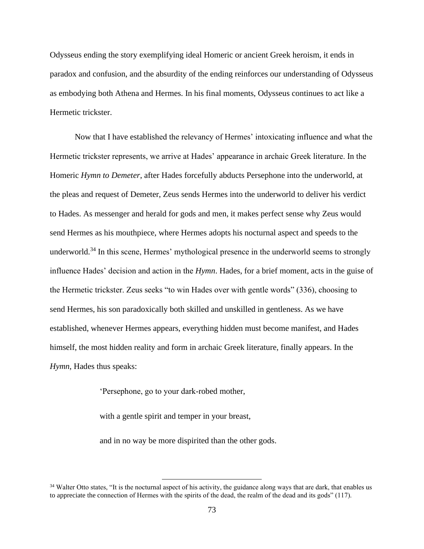Odysseus ending the story exemplifying ideal Homeric or ancient Greek heroism, it ends in paradox and confusion, and the absurdity of the ending reinforces our understanding of Odysseus as embodying both Athena and Hermes. In his final moments, Odysseus continues to act like a Hermetic trickster.

Now that I have established the relevancy of Hermes' intoxicating influence and what the Hermetic trickster represents, we arrive at Hades' appearance in archaic Greek literature. In the Homeric *Hymn to Demeter*, after Hades forcefully abducts Persephone into the underworld, at the pleas and request of Demeter, Zeus sends Hermes into the underworld to deliver his verdict to Hades. As messenger and herald for gods and men, it makes perfect sense why Zeus would send Hermes as his mouthpiece, where Hermes adopts his nocturnal aspect and speeds to the underworld.<sup>34</sup> In this scene, Hermes' mythological presence in the underworld seems to strongly influence Hades' decision and action in the *Hymn*. Hades, for a brief moment, acts in the guise of the Hermetic trickster. Zeus seeks "to win Hades over with gentle words" (336), choosing to send Hermes, his son paradoxically both skilled and unskilled in gentleness. As we have established, whenever Hermes appears, everything hidden must become manifest, and Hades himself, the most hidden reality and form in archaic Greek literature, finally appears. In the *Hymn*, Hades thus speaks:

'Persephone, go to your dark-robed mother,

with a gentle spirit and temper in your breast,

and in no way be more dispirited than the other gods.

<sup>&</sup>lt;sup>34</sup> Walter Otto states, "It is the nocturnal aspect of his activity, the guidance along ways that are dark, that enables us to appreciate the connection of Hermes with the spirits of the dead, the realm of the dead and its gods" (117).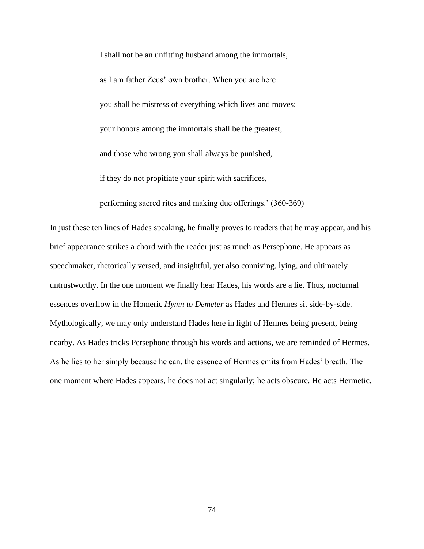I shall not be an unfitting husband among the immortals, as I am father Zeus' own brother. When you are here you shall be mistress of everything which lives and moves; your honors among the immortals shall be the greatest, and those who wrong you shall always be punished, if they do not propitiate your spirit with sacrifices,

performing sacred rites and making due offerings.' (360-369)

In just these ten lines of Hades speaking, he finally proves to readers that he may appear, and his brief appearance strikes a chord with the reader just as much as Persephone. He appears as speechmaker, rhetorically versed, and insightful, yet also conniving, lying, and ultimately untrustworthy. In the one moment we finally hear Hades, his words are a lie. Thus, nocturnal essences overflow in the Homeric *Hymn to Demeter* as Hades and Hermes sit side-by-side. Mythologically, we may only understand Hades here in light of Hermes being present, being nearby. As Hades tricks Persephone through his words and actions, we are reminded of Hermes. As he lies to her simply because he can, the essence of Hermes emits from Hades' breath. The one moment where Hades appears, he does not act singularly; he acts obscure. He acts Hermetic.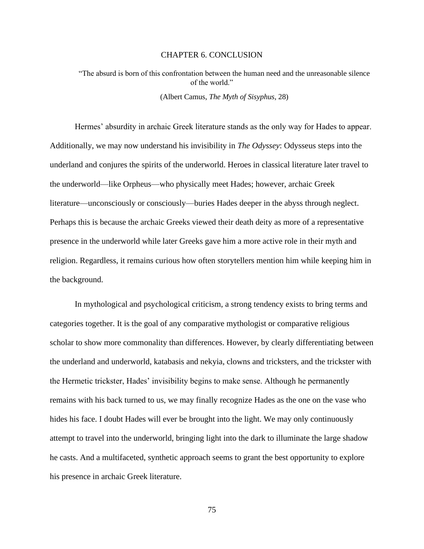## CHAPTER 6. CONCLUSION

"The absurd is born of this confrontation between the human need and the unreasonable silence of the world." (Albert Camus, *The Myth of Sisyphus*, 28)

Hermes' absurdity in archaic Greek literature stands as the only way for Hades to appear. Additionally, we may now understand his invisibility in *The Odyssey*: Odysseus steps into the underland and conjures the spirits of the underworld. Heroes in classical literature later travel to the underworld—like Orpheus—who physically meet Hades; however, archaic Greek literature—unconsciously or consciously—buries Hades deeper in the abyss through neglect. Perhaps this is because the archaic Greeks viewed their death deity as more of a representative presence in the underworld while later Greeks gave him a more active role in their myth and religion. Regardless, it remains curious how often storytellers mention him while keeping him in the background.

In mythological and psychological criticism, a strong tendency exists to bring terms and categories together. It is the goal of any comparative mythologist or comparative religious scholar to show more commonality than differences. However, by clearly differentiating between the underland and underworld, katabasis and nekyia, clowns and tricksters, and the trickster with the Hermetic trickster, Hades' invisibility begins to make sense. Although he permanently remains with his back turned to us, we may finally recognize Hades as the one on the vase who hides his face. I doubt Hades will ever be brought into the light. We may only continuously attempt to travel into the underworld, bringing light into the dark to illuminate the large shadow he casts. And a multifaceted, synthetic approach seems to grant the best opportunity to explore his presence in archaic Greek literature.

75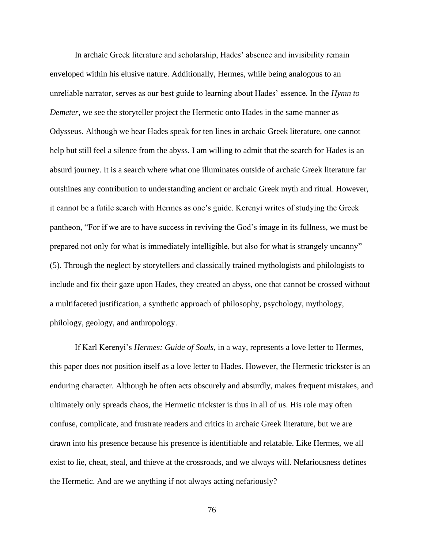In archaic Greek literature and scholarship, Hades' absence and invisibility remain enveloped within his elusive nature. Additionally, Hermes, while being analogous to an unreliable narrator, serves as our best guide to learning about Hades' essence. In the *Hymn to Demeter*, we see the storyteller project the Hermetic onto Hades in the same manner as Odysseus. Although we hear Hades speak for ten lines in archaic Greek literature, one cannot help but still feel a silence from the abyss. I am willing to admit that the search for Hades is an absurd journey. It is a search where what one illuminates outside of archaic Greek literature far outshines any contribution to understanding ancient or archaic Greek myth and ritual. However, it cannot be a futile search with Hermes as one's guide. Kerenyi writes of studying the Greek pantheon, "For if we are to have success in reviving the God's image in its fullness, we must be prepared not only for what is immediately intelligible, but also for what is strangely uncanny" (5). Through the neglect by storytellers and classically trained mythologists and philologists to include and fix their gaze upon Hades, they created an abyss, one that cannot be crossed without a multifaceted justification, a synthetic approach of philosophy, psychology, mythology, philology, geology, and anthropology.

If Karl Kerenyi's *Hermes: Guide of Souls*, in a way, represents a love letter to Hermes, this paper does not position itself as a love letter to Hades. However, the Hermetic trickster is an enduring character. Although he often acts obscurely and absurdly, makes frequent mistakes, and ultimately only spreads chaos, the Hermetic trickster is thus in all of us. His role may often confuse, complicate, and frustrate readers and critics in archaic Greek literature, but we are drawn into his presence because his presence is identifiable and relatable. Like Hermes, we all exist to lie, cheat, steal, and thieve at the crossroads, and we always will. Nefariousness defines the Hermetic. And are we anything if not always acting nefariously?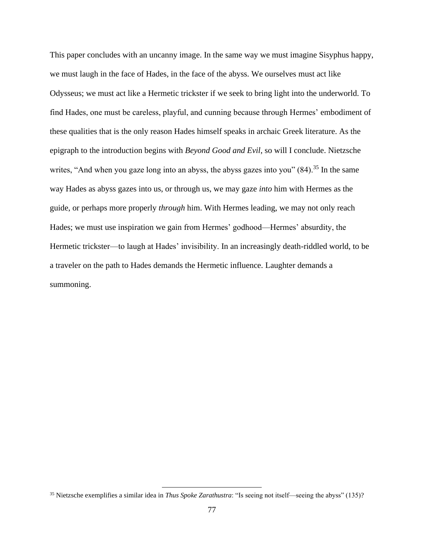This paper concludes with an uncanny image. In the same way we must imagine Sisyphus happy, we must laugh in the face of Hades, in the face of the abyss. We ourselves must act like Odysseus; we must act like a Hermetic trickster if we seek to bring light into the underworld. To find Hades, one must be careless, playful, and cunning because through Hermes' embodiment of these qualities that is the only reason Hades himself speaks in archaic Greek literature. As the epigraph to the introduction begins with *Beyond Good and Evil*, so will I conclude. Nietzsche writes, "And when you gaze long into an abyss, the abyss gazes into you"  $(84)$ <sup>35</sup>. In the same way Hades as abyss gazes into us, or through us, we may gaze *into* him with Hermes as the guide, or perhaps more properly *through* him. With Hermes leading, we may not only reach Hades; we must use inspiration we gain from Hermes' godhood—Hermes' absurdity, the Hermetic trickster—to laugh at Hades' invisibility. In an increasingly death-riddled world, to be a traveler on the path to Hades demands the Hermetic influence. Laughter demands a summoning.

<sup>35</sup> Nietzsche exemplifies a similar idea in *Thus Spoke Zarathustra*: "Is seeing not itself—seeing the abyss" (135)?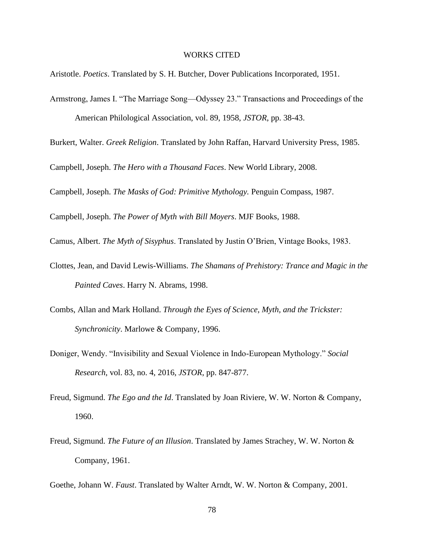## WORKS CITED

Aristotle. *Poetics*. Translated by S. H. Butcher, Dover Publications Incorporated, 1951.

Armstrong, James I. "The Marriage Song—Odyssey 23." Transactions and Proceedings of the American Philological Association, vol. 89, 1958, *JSTOR*, pp. 38-43.

Burkert, Walter. *Greek Religion*. Translated by John Raffan, Harvard University Press, 1985.

Campbell, Joseph. *The Hero with a Thousand Faces*. New World Library, 2008.

Campbell, Joseph. *The Masks of God: Primitive Mythology.* Penguin Compass, 1987.

Campbell, Joseph. *The Power of Myth with Bill Moyers*. MJF Books, 1988.

Camus, Albert. *The Myth of Sisyphus*. Translated by Justin O'Brien, Vintage Books, 1983.

- Clottes, Jean, and David Lewis-Williams. *The Shamans of Prehistory: Trance and Magic in the Painted Caves*. Harry N. Abrams, 1998.
- Combs, Allan and Mark Holland. *Through the Eyes of Science, Myth, and the Trickster: Synchronicity*. Marlowe & Company, 1996.
- Doniger, Wendy. "Invisibility and Sexual Violence in Indo-European Mythology." *Social Research*, vol. 83, no. 4, 2016, *JSTOR*, pp. 847-877.
- Freud, Sigmund. *The Ego and the Id*. Translated by Joan Riviere, W. W. Norton & Company, 1960.
- Freud, Sigmund. *The Future of an Illusion*. Translated by James Strachey, W. W. Norton & Company, 1961.

Goethe, Johann W. *Faust*. Translated by Walter Arndt, W. W. Norton & Company, 2001.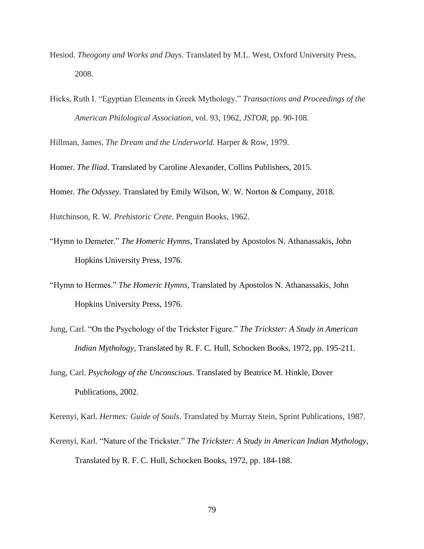- Hesiod. *Theogony and Works and Days*. Translated by M.L. West, Oxford University Press, 2008.
- Hicks, Ruth I. "Egyptian Elements in Greek Mythology." *Transactions and Proceedings of the American Philological Association*, vol. 93, 1962, *JSTOR*, pp. 90-108.

Hillman, James. *The Dream and the Underworld*. Harper & Row, 1979.

Homer. *The Iliad*. Translated by Caroline Alexander, Collins Publishers, 2015.

Homer. *The Odyssey*. Translated by Emily Wilson, W. W. Norton & Company, 2018.

Hutchinson, R. W. *Prehistoric Crete*. Penguin Books, 1962.

- "Hymn to Demeter." *The Homeric Hymns*, Translated by Apostolos N. Athanassakis, John Hopkins University Press, 1976.
- "Hymn to Hermes." *The Homeric Hymns*, Translated by Apostolos N. Athanassakis, John Hopkins University Press, 1976.
- Jung, Carl. "On the Psychology of the Trickster Figure." *The Trickster: A Study in American Indian Mythology*, Translated by R. F. C. Hull, Schocken Books, 1972, pp. 195-211.
- Jung, Carl. *Psychology of the Unconscious*. Translated by Beatrice M. Hinkle, Dover Publications, 2002.

Kerenyi, Karl. *Hermes: Guide of Souls*. Translated by Murray Stein, Sprint Publications, 1987.

Kerenyi, Karl. "Nature of the Trickster." *The Trickster: A Study in American Indian Mythology*, Translated by R. F. C. Hull, Schocken Books, 1972, pp. 184-188.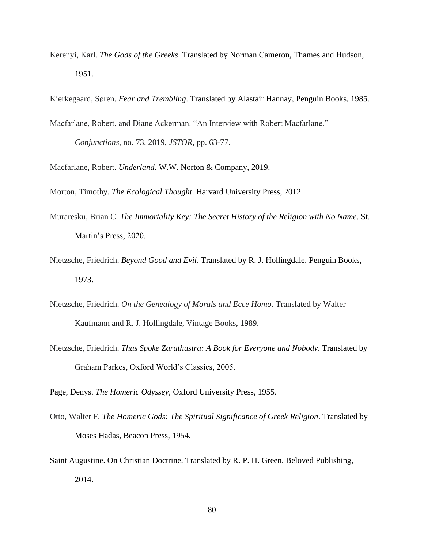Kerenyi, Karl. *The Gods of the Greeks*. Translated by Norman Cameron, Thames and Hudson, 1951.

Kierkegaard, Søren. *Fear and Trembling*. Translated by Alastair Hannay, Penguin Books, 1985.

- Macfarlane, Robert, and Diane Ackerman. "An Interview with Robert Macfarlane." *Conjunctions*, no. 73, 2019, *JSTOR*, pp. 63-77.
- Macfarlane, Robert. *Underland*. W.W. Norton & Company, 2019.

Morton, Timothy. *The Ecological Thought*. Harvard University Press, 2012.

- Muraresku, Brian C. *The Immortality Key: The Secret History of the Religion with No Name*. St. Martin's Press, 2020.
- Nietzsche, Friedrich. *Beyond Good and Evil*. Translated by R. J. Hollingdale, Penguin Books, 1973.
- Nietzsche, Friedrich. *On the Genealogy of Morals and Ecce Homo*. Translated by Walter Kaufmann and R. J. Hollingdale, Vintage Books, 1989.
- Nietzsche, Friedrich. *Thus Spoke Zarathustra: A Book for Everyone and Nobody*. Translated by Graham Parkes, Oxford World's Classics, 2005.

Page, Denys. *The Homeric Odyssey*, Oxford University Press, 1955.

- Otto, Walter F. *The Homeric Gods: The Spiritual Significance of Greek Religion*. Translated by Moses Hadas, Beacon Press, 1954.
- Saint Augustine. On Christian Doctrine. Translated by R. P. H. Green, Beloved Publishing, 2014.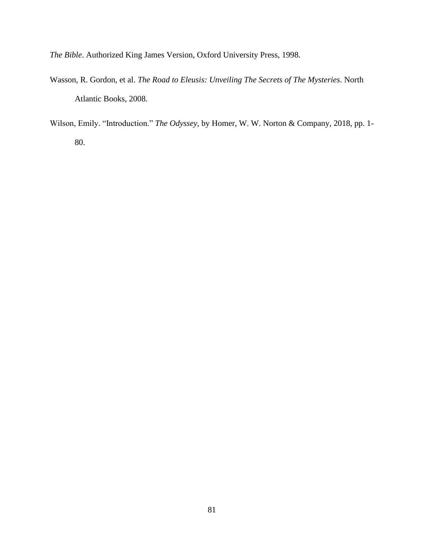*The Bible*. Authorized King James Version, Oxford University Press, 1998.

- Wasson, R. Gordon, et al. *The Road to Eleusis: Unveiling The Secrets of The Mysteries*. North Atlantic Books, 2008.
- Wilson, Emily. "Introduction." *The Odyssey*, by Homer, W. W. Norton & Company, 2018, pp. 1- 80.